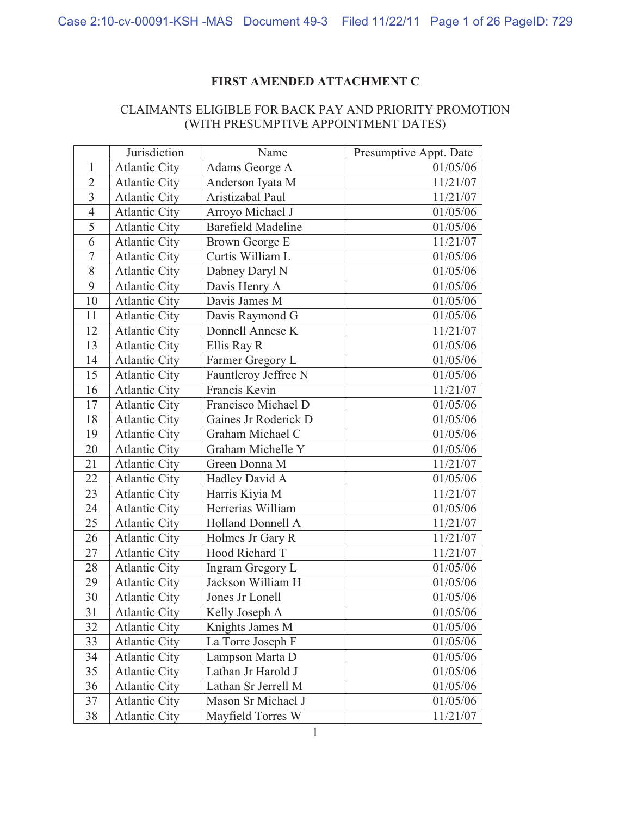## **FIRST AMENDED ATTACHMENT C**

## CLAIMANTS ELIGIBLE FOR BACK PAY AND PRIORITY PROMOTION (WITH PRESUMPTIVE APPOINTMENT DATES)

|                | Jurisdiction         | Name                      | Presumptive Appt. Date |
|----------------|----------------------|---------------------------|------------------------|
| $\mathbf{1}$   | <b>Atlantic City</b> | Adams George A            | 01/05/06               |
| $\overline{2}$ | <b>Atlantic City</b> | Anderson Iyata M          | 11/21/07               |
| $\overline{3}$ | <b>Atlantic City</b> | Aristizabal Paul          | 11/21/07               |
| $\overline{4}$ | <b>Atlantic City</b> | Arroyo Michael J          | 01/05/06               |
| 5              | <b>Atlantic City</b> | <b>Barefield Madeline</b> | 01/05/06               |
| 6              | <b>Atlantic City</b> | Brown George E            | 11/21/07               |
| $\overline{7}$ | <b>Atlantic City</b> | Curtis William L          | 01/05/06               |
| $8\,$          | <b>Atlantic City</b> | Dabney Daryl N            | 01/05/06               |
| 9              | <b>Atlantic City</b> | Davis Henry A             | 01/05/06               |
| 10             | <b>Atlantic City</b> | Davis James M             | 01/05/06               |
| 11             | <b>Atlantic City</b> | Davis Raymond G           | 01/05/06               |
| 12             | <b>Atlantic City</b> | Donnell Annese K          | 11/21/07               |
| 13             | <b>Atlantic City</b> | Ellis Ray R               | 01/05/06               |
| 14             | <b>Atlantic City</b> | Farmer Gregory L          | 01/05/06               |
| 15             | <b>Atlantic City</b> | Fauntleroy Jeffree N      | 01/05/06               |
| 16             | <b>Atlantic City</b> | Francis Kevin             | 11/21/07               |
| 17             | <b>Atlantic City</b> | Francisco Michael D       | 01/05/06               |
| 18             | <b>Atlantic City</b> | Gaines Jr Roderick D      | 01/05/06               |
| 19             | <b>Atlantic City</b> | Graham Michael C          | 01/05/06               |
| 20             | <b>Atlantic City</b> | Graham Michelle Y         | 01/05/06               |
| 21             | <b>Atlantic City</b> | Green Donna M             | 11/21/07               |
| 22             | <b>Atlantic City</b> | Hadley David A            | 01/05/06               |
| 23             | <b>Atlantic City</b> | Harris Kiyia M            | 11/21/07               |
| 24             | <b>Atlantic City</b> | Herrerias William         | 01/05/06               |
| 25             | <b>Atlantic City</b> | <b>Holland Donnell A</b>  | 11/21/07               |
| 26             | <b>Atlantic City</b> | Holmes Jr Gary R          | 11/21/07               |
| 27             | <b>Atlantic City</b> | Hood Richard T            | 11/21/07               |
| 28             | <b>Atlantic City</b> | Ingram Gregory L          | 01/05/06               |
| 29             | <b>Atlantic City</b> | Jackson William H         | 01/05/06               |
| 30             | <b>Atlantic City</b> | Jones Jr Lonell           | 01/05/06               |
| 31             | <b>Atlantic City</b> | Kelly Joseph A            | 01/05/06               |
| 32             | <b>Atlantic City</b> | Knights James M           | 01/05/06               |
| 33             | <b>Atlantic City</b> | La Torre Joseph F         | 01/05/06               |
| 34             | <b>Atlantic City</b> | Lampson Marta D           | 01/05/06               |
| 35             | <b>Atlantic City</b> | Lathan Jr Harold J        | 01/05/06               |
| 36             | <b>Atlantic City</b> | Lathan Sr Jerrell M       | 01/05/06               |
| 37             | <b>Atlantic City</b> | Mason Sr Michael J        | 01/05/06               |
| 38             | <b>Atlantic City</b> | Mayfield Torres W         | 11/21/07               |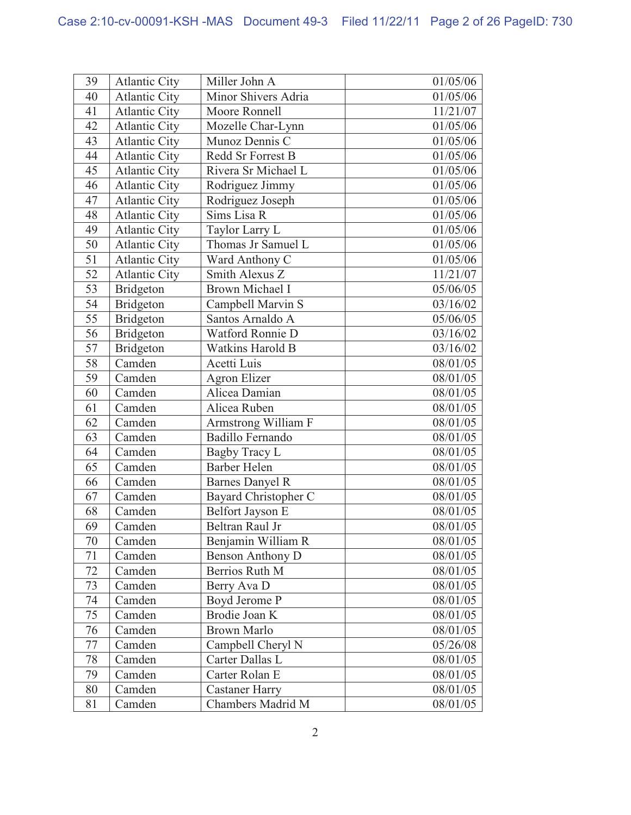| 39 | <b>Atlantic City</b> | Miller John A           | 01/05/06 |
|----|----------------------|-------------------------|----------|
| 40 | <b>Atlantic City</b> | Minor Shivers Adria     | 01/05/06 |
| 41 | <b>Atlantic City</b> | Moore Ronnell           | 11/21/07 |
| 42 | <b>Atlantic City</b> | Mozelle Char-Lynn       | 01/05/06 |
| 43 | <b>Atlantic City</b> | Munoz Dennis C          | 01/05/06 |
| 44 | <b>Atlantic City</b> | Redd Sr Forrest B       | 01/05/06 |
| 45 | <b>Atlantic City</b> | Rivera Sr Michael L     | 01/05/06 |
| 46 | <b>Atlantic City</b> | Rodriguez Jimmy         | 01/05/06 |
| 47 | <b>Atlantic City</b> | Rodriguez Joseph        | 01/05/06 |
| 48 | <b>Atlantic City</b> | Sims Lisa R             | 01/05/06 |
| 49 | <b>Atlantic City</b> | Taylor Larry L          | 01/05/06 |
| 50 | <b>Atlantic City</b> | Thomas Jr Samuel L      | 01/05/06 |
| 51 | <b>Atlantic City</b> | Ward Anthony C          | 01/05/06 |
| 52 | <b>Atlantic City</b> | Smith Alexus Z          | 11/21/07 |
| 53 | <b>Bridgeton</b>     | <b>Brown Michael I</b>  | 05/06/05 |
| 54 | Bridgeton            | Campbell Marvin S       | 03/16/02 |
| 55 | Bridgeton            | Santos Arnaldo A        | 05/06/05 |
| 56 | <b>Bridgeton</b>     | Watford Ronnie D        | 03/16/02 |
| 57 | <b>Bridgeton</b>     | <b>Watkins Harold B</b> | 03/16/02 |
| 58 | Camden               | Acetti Luis             | 08/01/05 |
| 59 | Camden               | <b>Agron Elizer</b>     | 08/01/05 |
| 60 | Camden               | Alicea Damian           | 08/01/05 |
| 61 | Camden               | Alicea Ruben            | 08/01/05 |
| 62 | Camden               | Armstrong William F     | 08/01/05 |
| 63 | Camden               | <b>Badillo Fernando</b> | 08/01/05 |
| 64 | Camden               | Bagby Tracy L           | 08/01/05 |
| 65 | Camden               | <b>Barber Helen</b>     | 08/01/05 |
| 66 | Camden               | <b>Barnes Danyel R</b>  | 08/01/05 |
| 67 | Camden               | Bayard Christopher C    | 08/01/05 |
| 68 | Camden               | Belfort Jayson E        | 08/01/05 |
| 69 | Camden               | Beltran Raul Jr         | 08/01/05 |
| 70 | Camden               | Benjamin William R      | 08/01/05 |
| 71 | Camden               | <b>Benson Anthony D</b> | 08/01/05 |
| 72 | Camden               | Berrios Ruth M          | 08/01/05 |
| 73 | Camden               | Berry Ava D             | 08/01/05 |
| 74 | Camden               | Boyd Jerome P           | 08/01/05 |
| 75 | Camden               | Brodie Joan K           | 08/01/05 |
| 76 | Camden               | <b>Brown Marlo</b>      | 08/01/05 |
| 77 | Camden               | Campbell Cheryl N       | 05/26/08 |
| 78 | Camden               | Carter Dallas L         | 08/01/05 |
| 79 | Camden               | Carter Rolan E          | 08/01/05 |
| 80 | Camden               | <b>Castaner Harry</b>   | 08/01/05 |
| 81 | Camden               | Chambers Madrid M       | 08/01/05 |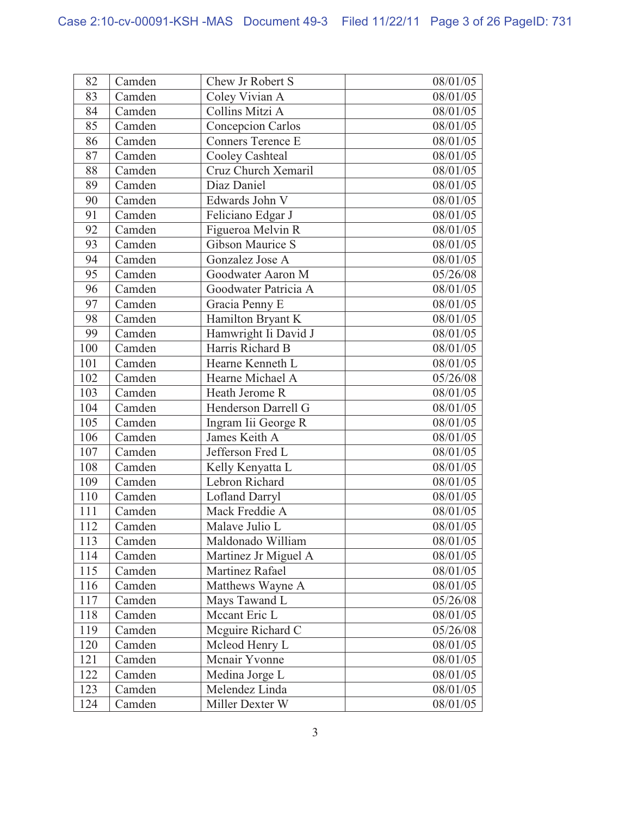| 82  | Camden | Chew Jr Robert S         | 08/01/05 |
|-----|--------|--------------------------|----------|
| 83  | Camden | Coley Vivian A           | 08/01/05 |
| 84  | Camden | Collins Mitzi A          | 08/01/05 |
| 85  | Camden | <b>Concepcion Carlos</b> | 08/01/05 |
| 86  | Camden | <b>Conners Terence E</b> | 08/01/05 |
| 87  | Camden | Cooley Cashteal          | 08/01/05 |
| 88  | Camden | Cruz Church Xemaril      | 08/01/05 |
| 89  | Camden | Diaz Daniel              | 08/01/05 |
| 90  | Camden | Edwards John V           | 08/01/05 |
| 91  | Camden | Feliciano Edgar J        | 08/01/05 |
| 92  | Camden | Figueroa Melvin R        | 08/01/05 |
| 93  | Camden | <b>Gibson Maurice S</b>  | 08/01/05 |
| 94  | Camden | Gonzalez Jose A          | 08/01/05 |
| 95  | Camden | Goodwater Aaron M        | 05/26/08 |
| 96  | Camden | Goodwater Patricia A     | 08/01/05 |
| 97  | Camden | Gracia Penny E           | 08/01/05 |
| 98  | Camden | Hamilton Bryant K        | 08/01/05 |
| 99  | Camden | Hamwright Ii David J     | 08/01/05 |
| 100 | Camden | Harris Richard B         | 08/01/05 |
| 101 | Camden | Hearne Kenneth L         | 08/01/05 |
| 102 | Camden | Hearne Michael A         | 05/26/08 |
| 103 | Camden | Heath Jerome R           | 08/01/05 |
| 104 | Camden | Henderson Darrell G      | 08/01/05 |
| 105 | Camden | Ingram Iii George R      | 08/01/05 |
| 106 | Camden | James Keith A            | 08/01/05 |
| 107 | Camden | Jefferson Fred L         | 08/01/05 |
| 108 | Camden | Kelly Kenyatta L         | 08/01/05 |
| 109 | Camden | Lebron Richard           | 08/01/05 |
| 110 | Camden | <b>Lofland Darryl</b>    | 08/01/05 |
| 111 | Camden | Mack Freddie A           | 08/01/05 |
| 112 | Camden | Malave Julio L           | 08/01/05 |
| 113 | Camden | Maldonado William        | 08/01/05 |
| 114 | Camden | Martinez Jr Miguel A     | 08/01/05 |
| 115 | Camden | Martinez Rafael          | 08/01/05 |
| 116 | Camden | Matthews Wayne A         | 08/01/05 |
| 117 | Camden | Mays Tawand L            | 05/26/08 |
| 118 | Camden | Mccant Eric L            | 08/01/05 |
| 119 | Camden | Mcguire Richard C        | 05/26/08 |
| 120 | Camden | Mcleod Henry L           | 08/01/05 |
| 121 | Camden | Mcnair Yvonne            | 08/01/05 |
| 122 | Camden | Medina Jorge L           | 08/01/05 |
| 123 | Camden | Melendez Linda           | 08/01/05 |
| 124 | Camden | Miller Dexter W          | 08/01/05 |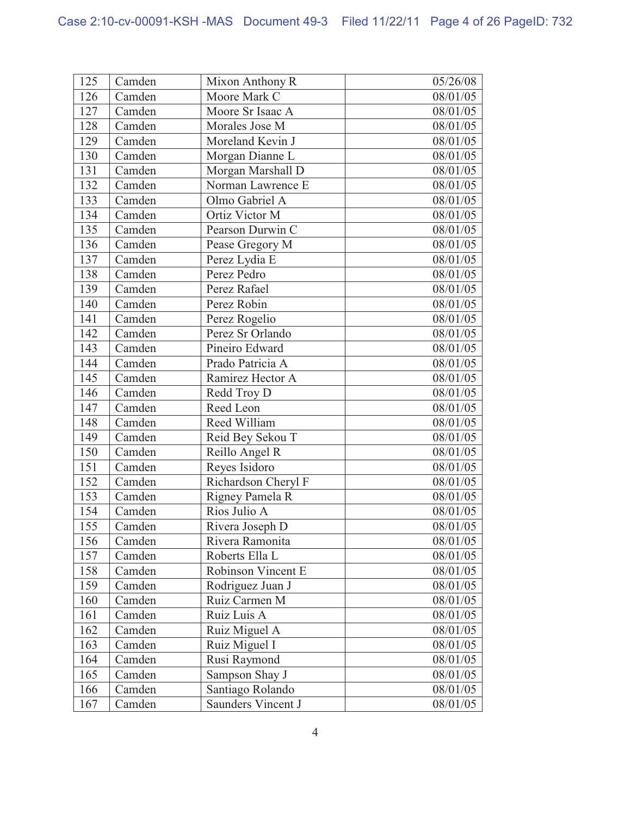| 125 | Camden | Mixon Anthony R     | 05/26/08 |
|-----|--------|---------------------|----------|
| 126 | Camden | Moore Mark C        | 08/01/05 |
| 127 | Camden | Moore Sr Isaac A    | 08/01/05 |
| 128 | Camden | Morales Jose M      | 08/01/05 |
| 129 | Camden | Moreland Kevin J    | 08/01/05 |
| 130 | Camden | Morgan Dianne L     | 08/01/05 |
| 131 | Camden | Morgan Marshall D   | 08/01/05 |
| 132 | Camden | Norman Lawrence E   | 08/01/05 |
| 133 | Camden | Olmo Gabriel A      | 08/01/05 |
| 134 | Camden | Ortiz Victor M      | 08/01/05 |
| 135 | Camden | Pearson Durwin C    | 08/01/05 |
| 136 | Camden | Pease Gregory M     | 08/01/05 |
| 137 | Camden | Perez Lydia E       | 08/01/05 |
| 138 | Camden | Perez Pedro         | 08/01/05 |
| 139 | Camden | Perez Rafael        | 08/01/05 |
| 140 | Camden | Perez Robin         | 08/01/05 |
| 141 | Camden | Perez Rogelio       | 08/01/05 |
| 142 | Camden | Perez Sr Orlando    | 08/01/05 |
| 143 | Camden | Pineiro Edward      | 08/01/05 |
| 144 | Camden | Prado Patricia A    | 08/01/05 |
| 145 | Camden | Ramirez Hector A    | 08/01/05 |
| 146 | Camden | Redd Troy D         | 08/01/05 |
| 147 | Camden | Reed Leon           | 08/01/05 |
| 148 | Camden | Reed William        | 08/01/05 |
| 149 | Camden | Reid Bey Sekou T    | 08/01/05 |
| 150 | Camden | Reillo Angel R      | 08/01/05 |
| 151 | Camden | Reyes Isidoro       | 08/01/05 |
| 152 | Camden | Richardson Cheryl F | 08/01/05 |
| 153 | Camden | Rigney Pamela R     | 08/01/05 |
| 154 | Camden | Rios Julio A        | 08/01/05 |
| 155 | Camden | Rivera Joseph D     | 08/01/05 |
| 156 | Camden | Rivera Ramonita     | 08/01/05 |
| 157 | Camden | Roberts Ella L      | 08/01/05 |
| 158 | Camden | Robinson Vincent E  | 08/01/05 |
| 159 | Camden | Rodriguez Juan J    | 08/01/05 |
| 160 | Camden | Ruiz Carmen M       | 08/01/05 |
| 161 | Camden | Ruiz Luis A         | 08/01/05 |
| 162 | Camden | Ruiz Miguel A       | 08/01/05 |
| 163 | Camden | Ruiz Miguel I       | 08/01/05 |
| 164 | Camden | Rusi Raymond        | 08/01/05 |
| 165 | Camden | Sampson Shay J      | 08/01/05 |
| 166 | Camden | Santiago Rolando    | 08/01/05 |
| 167 | Camden | Saunders Vincent J  | 08/01/05 |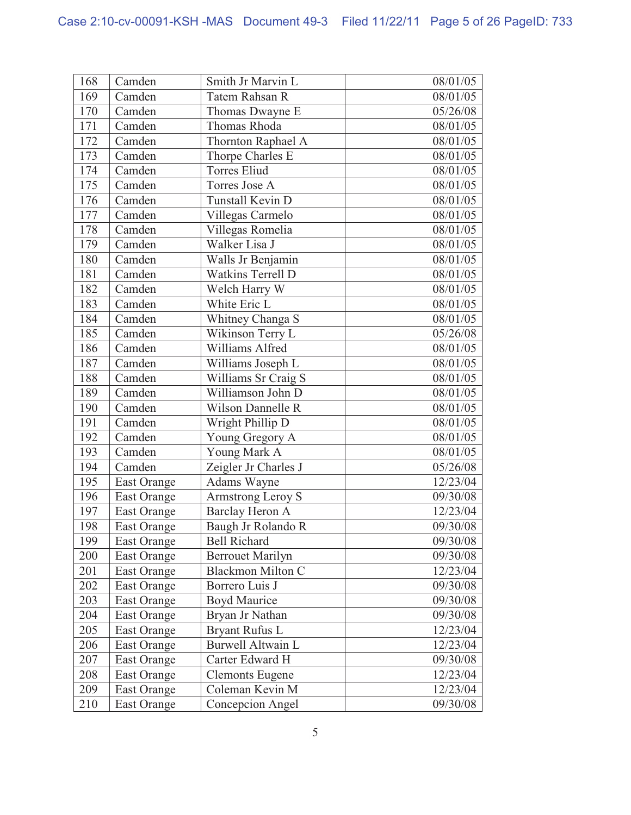| 168 | Camden             | Smith Jr Marvin L        | 08/01/05 |
|-----|--------------------|--------------------------|----------|
| 169 | Camden             | Tatem Rahsan R           | 08/01/05 |
| 170 | Camden             | Thomas Dwayne E          | 05/26/08 |
| 171 | Camden             | Thomas Rhoda             | 08/01/05 |
| 172 | Camden             | Thornton Raphael A       | 08/01/05 |
| 173 | Camden             | Thorpe Charles E         | 08/01/05 |
| 174 | Camden             | <b>Torres Eliud</b>      | 08/01/05 |
| 175 | Camden             | Torres Jose A            | 08/01/05 |
| 176 | Camden             | Tunstall Kevin D         | 08/01/05 |
| 177 | Camden             | Villegas Carmelo         | 08/01/05 |
| 178 | Camden             | Villegas Romelia         | 08/01/05 |
| 179 | Camden             | Walker Lisa J            | 08/01/05 |
| 180 | Camden             | Walls Jr Benjamin        | 08/01/05 |
| 181 | Camden             | Watkins Terrell D        | 08/01/05 |
| 182 | Camden             | Welch Harry W            | 08/01/05 |
| 183 | Camden             | White Eric L             | 08/01/05 |
| 184 | Camden             | Whitney Changa S         | 08/01/05 |
| 185 | Camden             | Wikinson Terry L         | 05/26/08 |
| 186 | Camden             | Williams Alfred          | 08/01/05 |
| 187 | Camden             | Williams Joseph L        | 08/01/05 |
| 188 | Camden             | Williams Sr Craig S      | 08/01/05 |
| 189 | Camden             | Williamson John D        | 08/01/05 |
| 190 | Camden             | <b>Wilson Dannelle R</b> | 08/01/05 |
| 191 | Camden             | Wright Phillip D         | 08/01/05 |
| 192 | Camden             | Young Gregory A          | 08/01/05 |
| 193 | Camden             | Young Mark A             | 08/01/05 |
| 194 | Camden             | Zeigler Jr Charles J     | 05/26/08 |
| 195 | East Orange        | Adams Wayne              | 12/23/04 |
| 196 | East Orange        | Armstrong Leroy S        | 09/30/08 |
| 197 | East Orange        | Barclay Heron A          | 12/23/04 |
| 198 | <b>East Orange</b> | Baugh Jr Rolando R       | 09/30/08 |
| 199 | East Orange        | <b>Bell Richard</b>      | 09/30/08 |
| 200 | <b>East Orange</b> | <b>Berrouet Marilyn</b>  | 09/30/08 |
| 201 | East Orange        | <b>Blackmon Milton C</b> | 12/23/04 |
| 202 | <b>East Orange</b> | Borrero Luis J           | 09/30/08 |
| 203 | <b>East Orange</b> | <b>Boyd Maurice</b>      | 09/30/08 |
| 204 | East Orange        | Bryan Jr Nathan          | 09/30/08 |
| 205 | East Orange        | <b>Bryant Rufus L</b>    | 12/23/04 |
| 206 | East Orange        | <b>Burwell Altwain L</b> | 12/23/04 |
| 207 | East Orange        | Carter Edward H          | 09/30/08 |
| 208 | East Orange        | <b>Clemonts Eugene</b>   | 12/23/04 |
| 209 | East Orange        | Coleman Kevin M          | 12/23/04 |
| 210 | East Orange        | Concepcion Angel         | 09/30/08 |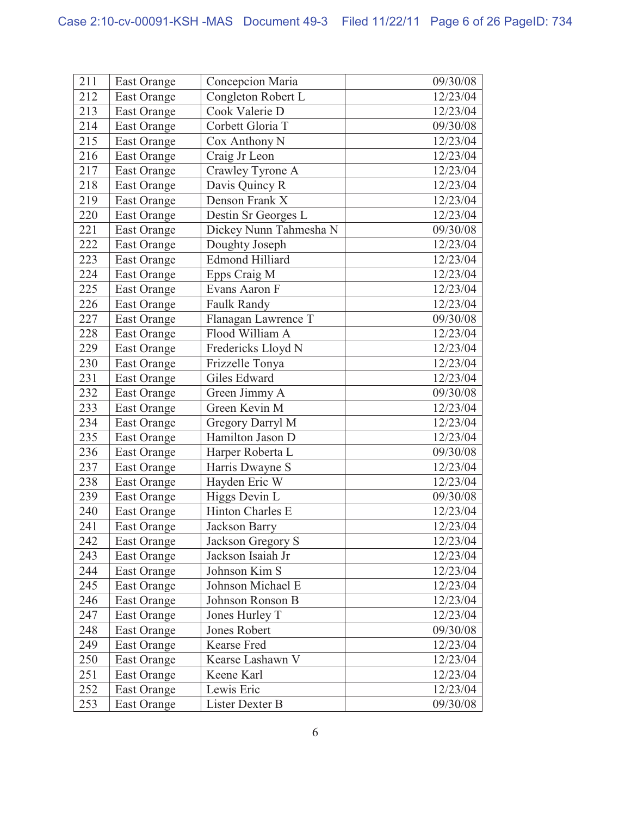| 211 | East Orange        | Concepcion Maria        | 09/30/08 |
|-----|--------------------|-------------------------|----------|
| 212 | <b>East Orange</b> | Congleton Robert L      | 12/23/04 |
| 213 | <b>East Orange</b> | Cook Valerie D          | 12/23/04 |
| 214 | East Orange        | Corbett Gloria T        | 09/30/08 |
| 215 | East Orange        | Cox Anthony N           | 12/23/04 |
| 216 | <b>East Orange</b> | Craig Jr Leon           | 12/23/04 |
| 217 | <b>East Orange</b> | Crawley Tyrone A        | 12/23/04 |
| 218 | <b>East Orange</b> | Davis Quincy R          | 12/23/04 |
| 219 | East Orange        | Denson Frank X          | 12/23/04 |
| 220 | East Orange        | Destin Sr Georges L     | 12/23/04 |
| 221 | East Orange        | Dickey Nunn Tahmesha N  | 09/30/08 |
| 222 | East Orange        | Doughty Joseph          | 12/23/04 |
| 223 | <b>East Orange</b> | <b>Edmond Hilliard</b>  | 12/23/04 |
| 224 | East Orange        | Epps Craig M            | 12/23/04 |
| 225 | East Orange        | Evans Aaron F           | 12/23/04 |
| 226 | East Orange        | Faulk Randy             | 12/23/04 |
| 227 | East Orange        | Flanagan Lawrence T     | 09/30/08 |
| 228 | <b>East Orange</b> | Flood William A         | 12/23/04 |
| 229 | East Orange        | Fredericks Lloyd N      | 12/23/04 |
| 230 | <b>East Orange</b> | Frizzelle Tonya         | 12/23/04 |
| 231 | East Orange        | Giles Edward            | 12/23/04 |
| 232 | East Orange        | Green Jimmy A           | 09/30/08 |
| 233 | <b>East Orange</b> | Green Kevin M           | 12/23/04 |
| 234 | East Orange        | Gregory Darryl M        | 12/23/04 |
| 235 | East Orange        | Hamilton Jason D        | 12/23/04 |
| 236 | East Orange        | Harper Roberta L        | 09/30/08 |
| 237 | East Orange        | Harris Dwayne S         | 12/23/04 |
| 238 | <b>East Orange</b> | Hayden Eric W           | 12/23/04 |
| 239 | <b>East Orange</b> | Higgs Devin L           | 09/30/08 |
| 240 | <b>East Orange</b> | <b>Hinton Charles E</b> | 12/23/04 |
| 241 | East Orange        | <b>Jackson Barry</b>    | 12/23/04 |
| 242 | East Orange        | Jackson Gregory S       | 12/23/04 |
| 243 | East Orange        | Jackson Isaiah Jr       | 12/23/04 |
| 244 | East Orange        | Johnson Kim S           | 12/23/04 |
| 245 | East Orange        | Johnson Michael E       | 12/23/04 |
| 246 | East Orange        | Johnson Ronson B        | 12/23/04 |
| 247 | <b>East Orange</b> | Jones Hurley T          | 12/23/04 |
| 248 | East Orange        | Jones Robert            | 09/30/08 |
| 249 | <b>East Orange</b> | <b>Kearse Fred</b>      | 12/23/04 |
| 250 | East Orange        | Kearse Lashawn V        | 12/23/04 |
| 251 | East Orange        | Keene Karl              | 12/23/04 |
| 252 | East Orange        | Lewis Eric              | 12/23/04 |
| 253 | East Orange        | Lister Dexter B         | 09/30/08 |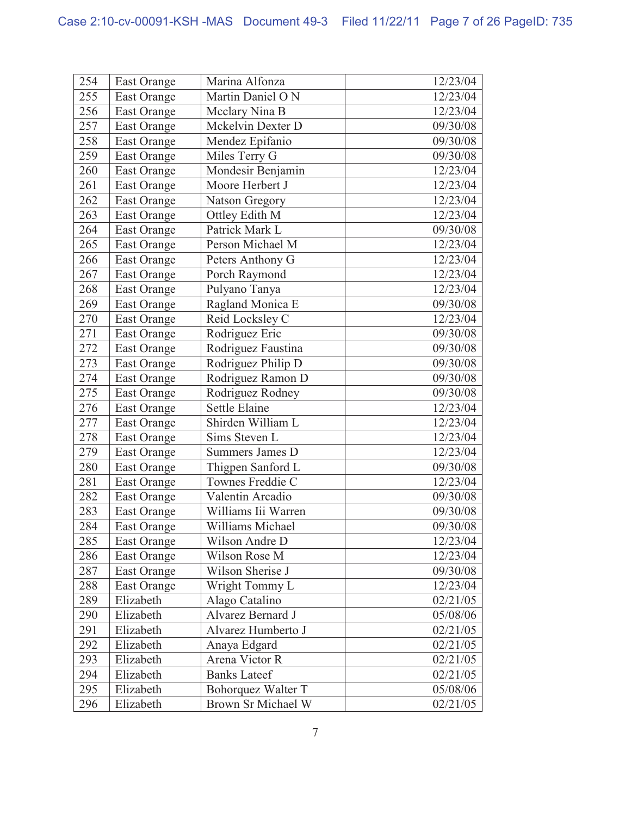| 254 | East Orange        | Marina Alfonza         | 12/23/04 |
|-----|--------------------|------------------------|----------|
| 255 | <b>East Orange</b> | Martin Daniel O N      | 12/23/04 |
| 256 | East Orange        | Mcclary Nina B         | 12/23/04 |
| 257 | <b>East Orange</b> | Mckelvin Dexter D      | 09/30/08 |
| 258 | East Orange        | Mendez Epifanio        | 09/30/08 |
| 259 | East Orange        | Miles Terry G          | 09/30/08 |
| 260 | <b>East Orange</b> | Mondesir Benjamin      | 12/23/04 |
| 261 | East Orange        | Moore Herbert J        | 12/23/04 |
| 262 | <b>East Orange</b> | Natson Gregory         | 12/23/04 |
| 263 | <b>East Orange</b> | Ottley Edith M         | 12/23/04 |
| 264 | East Orange        | Patrick Mark L         | 09/30/08 |
| 265 | <b>East Orange</b> | Person Michael M       | 12/23/04 |
| 266 | East Orange        | Peters Anthony G       | 12/23/04 |
| 267 | <b>East Orange</b> | Porch Raymond          | 12/23/04 |
| 268 | East Orange        | Pulyano Tanya          | 12/23/04 |
| 269 | <b>East Orange</b> | Ragland Monica E       | 09/30/08 |
| 270 | East Orange        | Reid Locksley C        | 12/23/04 |
| 271 | East Orange        | Rodriguez Eric         | 09/30/08 |
| 272 | <b>East Orange</b> | Rodriguez Faustina     | 09/30/08 |
| 273 | East Orange        | Rodriguez Philip D     | 09/30/08 |
| 274 | <b>East Orange</b> | Rodriguez Ramon D      | 09/30/08 |
| 275 | <b>East Orange</b> | Rodriguez Rodney       | 09/30/08 |
| 276 | East Orange        | <b>Settle Elaine</b>   | 12/23/04 |
| 277 | <b>East Orange</b> | Shirden William L      | 12/23/04 |
| 278 | East Orange        | Sims Steven L          | 12/23/04 |
| 279 | East Orange        | <b>Summers James D</b> | 12/23/04 |
| 280 | <b>East Orange</b> | Thigpen Sanford L      | 09/30/08 |
| 281 | East Orange        | Townes Freddie C       | 12/23/04 |
| 282 | East Orange        | Valentin Arcadio       | 09/30/08 |
| 283 | <b>East Orange</b> | Williams Iii Warren    | 09/30/08 |
| 284 | <b>East Orange</b> | Williams Michael       | 09/30/08 |
| 285 | East Orange        | Wilson Andre D         | 12/23/04 |
| 286 | East Orange        | Wilson Rose M          | 12/23/04 |
| 287 | <b>East Orange</b> | Wilson Sherise J       | 09/30/08 |
| 288 | East Orange        | Wright Tommy L         | 12/23/04 |
| 289 | Elizabeth          | Alago Catalino         | 02/21/05 |
| 290 | Elizabeth          | Alvarez Bernard J      | 05/08/06 |
| 291 | Elizabeth          | Alvarez Humberto J     | 02/21/05 |
| 292 | Elizabeth          | Anaya Edgard           | 02/21/05 |
| 293 | Elizabeth          | Arena Victor R         | 02/21/05 |
| 294 | Elizabeth          | <b>Banks Lateef</b>    | 02/21/05 |
| 295 | Elizabeth          | Bohorquez Walter T     | 05/08/06 |
| 296 | Elizabeth          | Brown Sr Michael W     | 02/21/05 |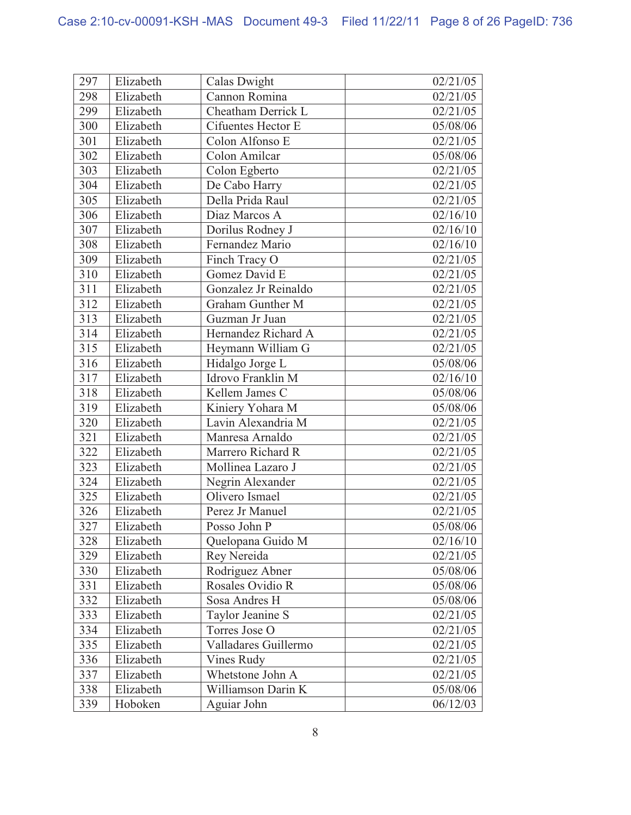| 297 | Elizabeth | Calas Dwight            | 02/21/05 |
|-----|-----------|-------------------------|----------|
| 298 | Elizabeth | Cannon Romina           | 02/21/05 |
| 299 | Elizabeth | Cheatham Derrick L      | 02/21/05 |
| 300 | Elizabeth | Cifuentes Hector E      | 05/08/06 |
| 301 | Elizabeth | Colon Alfonso E         | 02/21/05 |
| 302 | Elizabeth | Colon Amilcar           | 05/08/06 |
| 303 | Elizabeth | Colon Egberto           | 02/21/05 |
| 304 | Elizabeth | De Cabo Harry           | 02/21/05 |
| 305 | Elizabeth | Della Prida Raul        | 02/21/05 |
| 306 | Elizabeth | Diaz Marcos A           | 02/16/10 |
| 307 | Elizabeth | Dorilus Rodney J        | 02/16/10 |
| 308 | Elizabeth | Fernandez Mario         | 02/16/10 |
| 309 | Elizabeth | Finch Tracy O           | 02/21/05 |
| 310 | Elizabeth | Gomez David E           | 02/21/05 |
| 311 | Elizabeth | Gonzalez Jr Reinaldo    | 02/21/05 |
| 312 | Elizabeth | <b>Graham Gunther M</b> | 02/21/05 |
| 313 | Elizabeth | Guzman Jr Juan          | 02/21/05 |
| 314 | Elizabeth | Hernandez Richard A     | 02/21/05 |
| 315 | Elizabeth | Heymann William G       | 02/21/05 |
| 316 | Elizabeth | Hidalgo Jorge L         | 05/08/06 |
| 317 | Elizabeth | Idrovo Franklin M       | 02/16/10 |
| 318 | Elizabeth | Kellem James C          | 05/08/06 |
| 319 | Elizabeth | Kiniery Yohara M        | 05/08/06 |
| 320 | Elizabeth | Lavin Alexandria M      | 02/21/05 |
| 321 | Elizabeth | Manresa Arnaldo         | 02/21/05 |
| 322 | Elizabeth | Marrero Richard R       | 02/21/05 |
| 323 | Elizabeth | Mollinea Lazaro J       | 02/21/05 |
| 324 | Elizabeth | Negrin Alexander        | 02/21/05 |
| 325 | Elizabeth | Olivero Ismael          | 02/21/05 |
| 326 | Elizabeth | Perez Jr Manuel         | 02/21/05 |
| 327 | Elizabeth | Posso John P            | 05/08/06 |
| 328 | Elizabeth | Quelopana Guido M       | 02/16/10 |
| 329 | Elizabeth | Rey Nereida             | 02/21/05 |
| 330 | Elizabeth | Rodriguez Abner         | 05/08/06 |
| 331 | Elizabeth | Rosales Ovidio R        | 05/08/06 |
| 332 | Elizabeth | Sosa Andres H           | 05/08/06 |
| 333 | Elizabeth | Taylor Jeanine S        | 02/21/05 |
| 334 | Elizabeth | Torres Jose O           | 02/21/05 |
| 335 | Elizabeth | Valladares Guillermo    | 02/21/05 |
| 336 | Elizabeth | Vines Rudy              | 02/21/05 |
| 337 | Elizabeth | Whetstone John A        | 02/21/05 |
| 338 | Elizabeth | Williamson Darin K      | 05/08/06 |
| 339 | Hoboken   | Aguiar John             | 06/12/03 |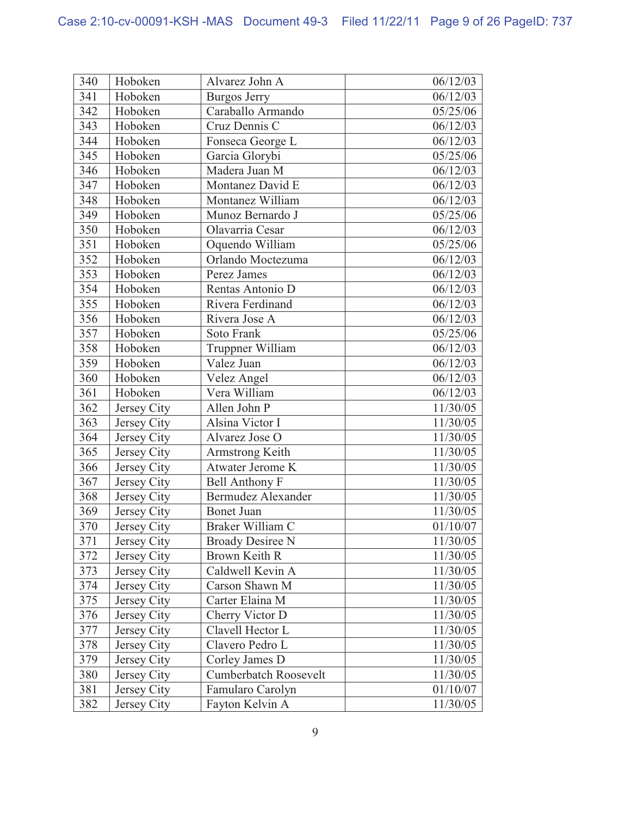| 340 | Hoboken     | Alvarez John A            | 06/12/03 |
|-----|-------------|---------------------------|----------|
| 341 | Hoboken     | <b>Burgos Jerry</b>       | 06/12/03 |
| 342 | Hoboken     | Caraballo Armando         | 05/25/06 |
| 343 | Hoboken     | Cruz Dennis C             | 06/12/03 |
| 344 | Hoboken     | Fonseca George L          | 06/12/03 |
| 345 | Hoboken     | Garcia Glorybi            | 05/25/06 |
| 346 | Hoboken     | Madera Juan M             | 06/12/03 |
| 347 | Hoboken     | Montanez David E          | 06/12/03 |
| 348 | Hoboken     | Montanez William          | 06/12/03 |
| 349 | Hoboken     | Munoz Bernardo J          | 05/25/06 |
| 350 | Hoboken     | Olavarria Cesar           | 06/12/03 |
| 351 | Hoboken     | Oquendo William           | 05/25/06 |
| 352 | Hoboken     | Orlando Moctezuma         | 06/12/03 |
| 353 | Hoboken     | Perez James               | 06/12/03 |
| 354 | Hoboken     | Rentas Antonio D          | 06/12/03 |
| 355 | Hoboken     | Rivera Ferdinand          | 06/12/03 |
| 356 | Hoboken     | Rivera Jose A             | 06/12/03 |
| 357 | Hoboken     | Soto Frank                | 05/25/06 |
| 358 | Hoboken     | Truppner William          | 06/12/03 |
| 359 | Hoboken     | Valez Juan                | 06/12/03 |
| 360 | Hoboken     | Velez Angel               | 06/12/03 |
| 361 | Hoboken     | Vera William              | 06/12/03 |
| 362 | Jersey City | Allen John P              | 11/30/05 |
| 363 | Jersey City | Alsina Victor I           | 11/30/05 |
| 364 | Jersey City | Alvarez Jose O            | 11/30/05 |
| 365 | Jersey City | Armstrong Keith           | 11/30/05 |
| 366 | Jersey City | Atwater Jerome K          | 11/30/05 |
| 367 | Jersey City | <b>Bell Anthony F</b>     | 11/30/05 |
| 368 | Jersey City | <b>Bermudez Alexander</b> | 11/30/05 |
| 369 | Jersey City | <b>Bonet Juan</b>         | 11/30/05 |
| 370 | Jersey City | Braker William C          | 01/10/07 |
| 371 | Jersey City | <b>Broady Desiree N</b>   | 11/30/05 |
| 372 | Jersey City | Brown Keith R             | 11/30/05 |
| 373 | Jersey City | Caldwell Kevin A          | 11/30/05 |
| 374 | Jersey City | Carson Shawn M            | 11/30/05 |
| 375 | Jersey City | Carter Elaina M           | 11/30/05 |
| 376 | Jersey City | Cherry Victor D           | 11/30/05 |
| 377 | Jersey City | Clavell Hector L          | 11/30/05 |
| 378 | Jersey City | Clavero Pedro L           | 11/30/05 |
| 379 | Jersey City | Corley James D            | 11/30/05 |
| 380 | Jersey City | Cumberbatch Roosevelt     | 11/30/05 |
| 381 | Jersey City | Famularo Carolyn          | 01/10/07 |
| 382 | Jersey City | Fayton Kelvin A           | 11/30/05 |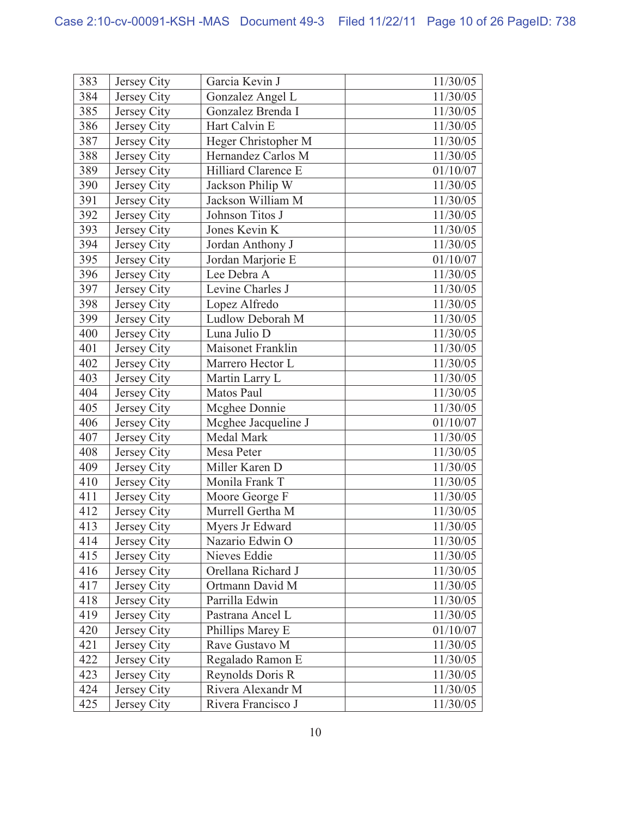| 383 | Jersey City | Garcia Kevin J      | 11/30/05 |
|-----|-------------|---------------------|----------|
| 384 | Jersey City | Gonzalez Angel L    | 11/30/05 |
| 385 | Jersey City | Gonzalez Brenda I   | 11/30/05 |
| 386 | Jersey City | Hart Calvin E       | 11/30/05 |
| 387 | Jersey City | Heger Christopher M | 11/30/05 |
| 388 | Jersey City | Hernandez Carlos M  | 11/30/05 |
| 389 | Jersey City | Hilliard Clarence E | 01/10/07 |
| 390 | Jersey City | Jackson Philip W    | 11/30/05 |
| 391 | Jersey City | Jackson William M   | 11/30/05 |
| 392 | Jersey City | Johnson Titos J     | 11/30/05 |
| 393 | Jersey City | Jones Kevin K       | 11/30/05 |
| 394 | Jersey City | Jordan Anthony J    | 11/30/05 |
| 395 | Jersey City | Jordan Marjorie E   | 01/10/07 |
| 396 | Jersey City | Lee Debra A         | 11/30/05 |
| 397 | Jersey City | Levine Charles J    | 11/30/05 |
| 398 | Jersey City | Lopez Alfredo       | 11/30/05 |
| 399 | Jersey City | Ludlow Deborah M    | 11/30/05 |
| 400 | Jersey City | Luna Julio D        | 11/30/05 |
| 401 | Jersey City | Maisonet Franklin   | 11/30/05 |
| 402 | Jersey City | Marrero Hector L    | 11/30/05 |
| 403 | Jersey City | Martin Larry L      | 11/30/05 |
| 404 | Jersey City | Matos Paul          | 11/30/05 |
| 405 | Jersey City | Mcghee Donnie       | 11/30/05 |
| 406 | Jersey City | Mcghee Jacqueline J | 01/10/07 |
| 407 | Jersey City | <b>Medal Mark</b>   | 11/30/05 |
| 408 | Jersey City | Mesa Peter          | 11/30/05 |
| 409 | Jersey City | Miller Karen D      | 11/30/05 |
| 410 | Jersey City | Monila Frank T      | 11/30/05 |
| 411 | Jersey City | Moore George F      | 11/30/05 |
| 412 | Jersey City | Murrell Gertha M    | 11/30/05 |
| 413 | Jersey City | Myers Jr Edward     | 11/30/05 |
| 414 | Jersey City | Nazario Edwin O     | 11/30/05 |
| 415 | Jersey City | Nieves Eddie        | 11/30/05 |
| 416 | Jersey City | Orellana Richard J  | 11/30/05 |
| 417 | Jersey City | Ortmann David M     | 11/30/05 |
| 418 | Jersey City | Parrilla Edwin      | 11/30/05 |
| 419 | Jersey City | Pastrana Ancel L    | 11/30/05 |
| 420 | Jersey City | Phillips Marey E    | 01/10/07 |
| 421 | Jersey City | Rave Gustavo M      | 11/30/05 |
| 422 | Jersey City | Regalado Ramon E    | 11/30/05 |
| 423 | Jersey City | Reynolds Doris R    | 11/30/05 |
| 424 | Jersey City | Rivera Alexandr M   | 11/30/05 |
| 425 | Jersey City | Rivera Francisco J  | 11/30/05 |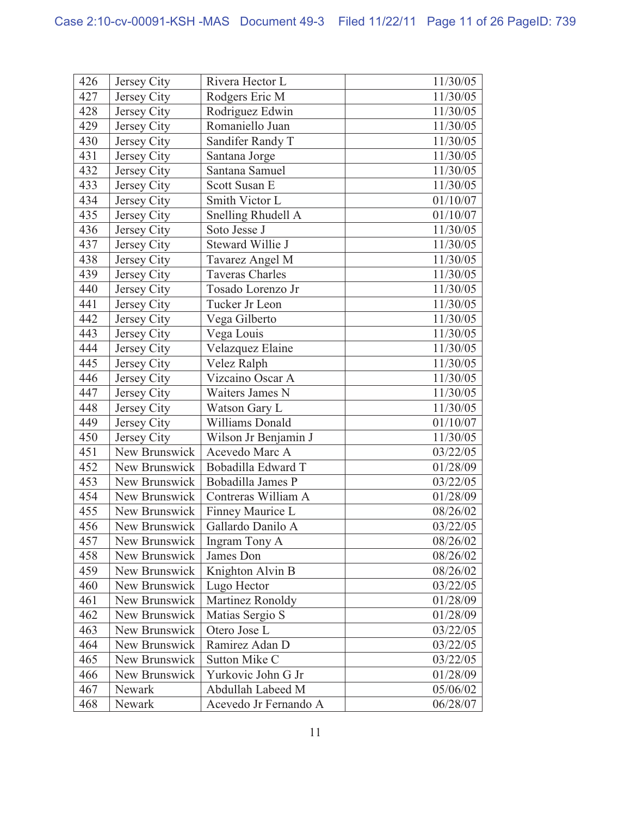| 426 | Jersey City   | Rivera Hector L        | 11/30/05 |
|-----|---------------|------------------------|----------|
| 427 | Jersey City   | Rodgers Eric M         | 11/30/05 |
| 428 | Jersey City   | Rodriguez Edwin        | 11/30/05 |
| 429 | Jersey City   | Romaniello Juan        | 11/30/05 |
| 430 | Jersey City   | Sandifer Randy T       | 11/30/05 |
| 431 | Jersey City   | Santana Jorge          | 11/30/05 |
| 432 | Jersey City   | Santana Samuel         | 11/30/05 |
| 433 | Jersey City   | Scott Susan E          | 11/30/05 |
| 434 | Jersey City   | Smith Victor L         | 01/10/07 |
| 435 | Jersey City   | Snelling Rhudell A     | 01/10/07 |
| 436 | Jersey City   | Soto Jesse J           | 11/30/05 |
| 437 | Jersey City   | Steward Willie J       | 11/30/05 |
| 438 | Jersey City   | Tavarez Angel M        | 11/30/05 |
| 439 | Jersey City   | <b>Taveras Charles</b> | 11/30/05 |
| 440 | Jersey City   | Tosado Lorenzo Jr      | 11/30/05 |
| 441 | Jersey City   | Tucker Jr Leon         | 11/30/05 |
| 442 | Jersey City   | Vega Gilberto          | 11/30/05 |
| 443 | Jersey City   | Vega Louis             | 11/30/05 |
| 444 | Jersey City   | Velazquez Elaine       | 11/30/05 |
| 445 | Jersey City   | Velez Ralph            | 11/30/05 |
| 446 | Jersey City   | Vizcaino Oscar A       | 11/30/05 |
| 447 | Jersey City   | Waiters James N        | 11/30/05 |
| 448 | Jersey City   | Watson Gary L          | 11/30/05 |
| 449 | Jersey City   | Williams Donald        | 01/10/07 |
| 450 | Jersey City   | Wilson Jr Benjamin J   | 11/30/05 |
| 451 | New Brunswick | Acevedo Marc A         | 03/22/05 |
| 452 | New Brunswick | Bobadilla Edward T     | 01/28/09 |
| 453 | New Brunswick | Bobadilla James P      | 03/22/05 |
| 454 | New Brunswick | Contreras William A    | 01/28/09 |
| 455 | New Brunswick | Finney Maurice L       | 08/26/02 |
| 456 | New Brunswick | Gallardo Danilo A      | 03/22/05 |
| 457 | New Brunswick | Ingram Tony A          | 08/26/02 |
| 458 | New Brunswick | James Don              | 08/26/02 |
| 459 | New Brunswick | Knighton Alvin B       | 08/26/02 |
| 460 | New Brunswick | Lugo Hector            | 03/22/05 |
| 461 | New Brunswick | Martinez Ronoldy       | 01/28/09 |
| 462 | New Brunswick | Matias Sergio S        | 01/28/09 |
| 463 | New Brunswick | Otero Jose L           | 03/22/05 |
| 464 | New Brunswick | Ramirez Adan D         | 03/22/05 |
| 465 | New Brunswick | Sutton Mike C          | 03/22/05 |
| 466 | New Brunswick | Yurkovic John G Jr     | 01/28/09 |
| 467 | Newark        | Abdullah Labeed M      | 05/06/02 |
| 468 | Newark        | Acevedo Jr Fernando A  | 06/28/07 |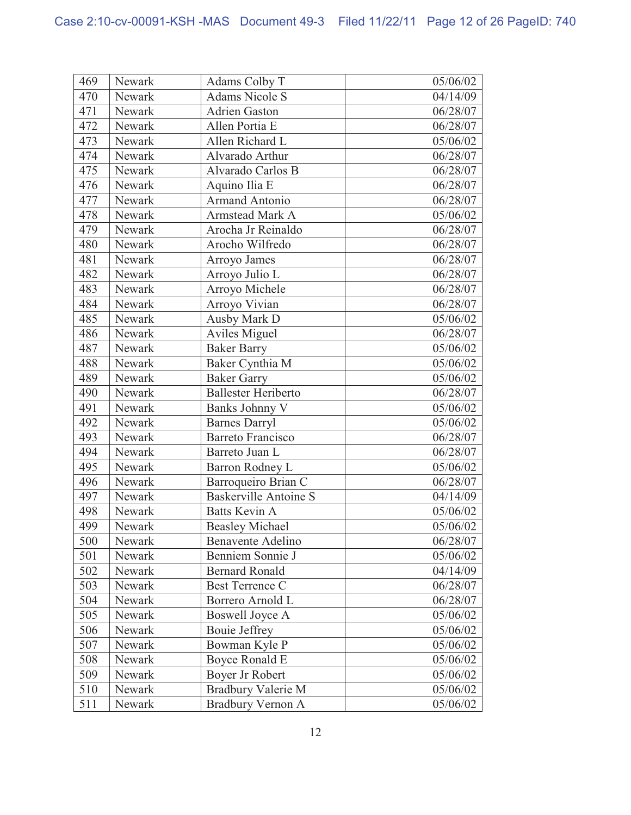| 469 | Newark | Adams Colby T                | 05/06/02 |
|-----|--------|------------------------------|----------|
| 470 | Newark | <b>Adams Nicole S</b>        | 04/14/09 |
| 471 | Newark | <b>Adrien Gaston</b>         | 06/28/07 |
| 472 | Newark | Allen Portia E               | 06/28/07 |
| 473 | Newark | Allen Richard L              | 05/06/02 |
| 474 | Newark | Alvarado Arthur              | 06/28/07 |
| 475 | Newark | Alvarado Carlos B            | 06/28/07 |
| 476 | Newark | Aquino Ilia E                | 06/28/07 |
| 477 | Newark | <b>Armand Antonio</b>        | 06/28/07 |
| 478 | Newark | <b>Armstead Mark A</b>       | 05/06/02 |
| 479 | Newark | Arocha Jr Reinaldo           | 06/28/07 |
| 480 | Newark | Arocho Wilfredo              | 06/28/07 |
| 481 | Newark | Arroyo James                 | 06/28/07 |
| 482 | Newark | Arroyo Julio L               | 06/28/07 |
| 483 | Newark | Arroyo Michele               | 06/28/07 |
| 484 | Newark | Arroyo Vivian                | 06/28/07 |
| 485 | Newark | <b>Ausby Mark D</b>          | 05/06/02 |
| 486 | Newark | <b>Aviles Miguel</b>         | 06/28/07 |
| 487 | Newark | <b>Baker Barry</b>           | 05/06/02 |
| 488 | Newark | Baker Cynthia M              | 05/06/02 |
| 489 | Newark | <b>Baker Garry</b>           | 05/06/02 |
| 490 | Newark | Ballester Heriberto          | 06/28/07 |
| 491 | Newark | Banks Johnny V               | 05/06/02 |
| 492 | Newark | <b>Barnes Darryl</b>         | 05/06/02 |
| 493 | Newark | <b>Barreto Francisco</b>     | 06/28/07 |
| 494 | Newark | Barreto Juan L               | 06/28/07 |
| 495 | Newark | Barron Rodney L              | 05/06/02 |
| 496 | Newark | Barroqueiro Brian C          | 06/28/07 |
| 497 | Newark | <b>Baskerville Antoine S</b> | 04/14/09 |
| 498 | Newark | <b>Batts Kevin A</b>         | 05/06/02 |
| 499 | Newark | <b>Beasley Michael</b>       | 05/06/02 |
| 500 | Newark | Benavente Adelino            | 06/28/07 |
| 501 | Newark | Benniem Sonnie J             | 05/06/02 |
| 502 | Newark | <b>Bernard Ronald</b>        | 04/14/09 |
| 503 | Newark | <b>Best Terrence C</b>       | 06/28/07 |
| 504 | Newark | Borrero Arnold L             | 06/28/07 |
| 505 | Newark | <b>Boswell Joyce A</b>       | 05/06/02 |
| 506 | Newark | Bouie Jeffrey                | 05/06/02 |
| 507 | Newark | Bowman Kyle P                | 05/06/02 |
| 508 | Newark | Boyce Ronald E               | 05/06/02 |
| 509 | Newark | Boyer Jr Robert              | 05/06/02 |
| 510 | Newark | Bradbury Valerie M           | 05/06/02 |
| 511 | Newark | <b>Bradbury Vernon A</b>     | 05/06/02 |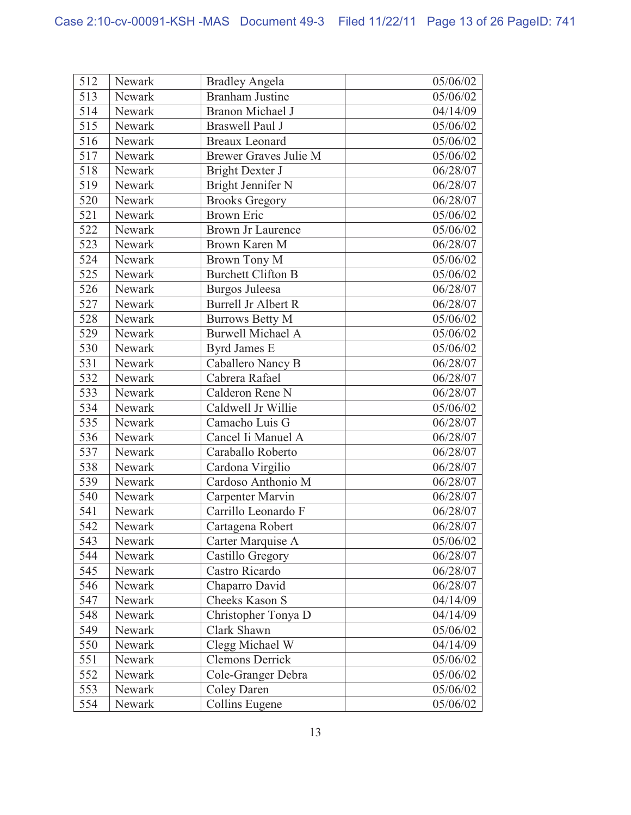| 512 | Newark | <b>Bradley Angela</b>      | 05/06/02 |
|-----|--------|----------------------------|----------|
| 513 | Newark | <b>Branham Justine</b>     | 05/06/02 |
| 514 | Newark | <b>Branon Michael J</b>    | 04/14/09 |
| 515 | Newark | <b>Braswell Paul J</b>     | 05/06/02 |
| 516 | Newark | <b>Breaux Leonard</b>      | 05/06/02 |
| 517 | Newark | Brewer Graves Julie M      | 05/06/02 |
| 518 | Newark | <b>Bright Dexter J</b>     | 06/28/07 |
| 519 | Newark | <b>Bright Jennifer N</b>   | 06/28/07 |
| 520 | Newark | <b>Brooks Gregory</b>      | 06/28/07 |
| 521 | Newark | <b>Brown Eric</b>          | 05/06/02 |
| 522 | Newark | <b>Brown Jr Laurence</b>   | 05/06/02 |
| 523 | Newark | <b>Brown Karen M</b>       | 06/28/07 |
| 524 | Newark | <b>Brown Tony M</b>        | 05/06/02 |
| 525 | Newark | <b>Burchett Clifton B</b>  | 05/06/02 |
| 526 | Newark | Burgos Juleesa             | 06/28/07 |
| 527 | Newark | <b>Burrell Jr Albert R</b> | 06/28/07 |
| 528 | Newark | <b>Burrows Betty M</b>     | 05/06/02 |
| 529 | Newark | <b>Burwell Michael A</b>   | 05/06/02 |
| 530 | Newark | <b>Byrd James E</b>        | 05/06/02 |
| 531 | Newark | Caballero Nancy B          | 06/28/07 |
| 532 | Newark | Cabrera Rafael             | 06/28/07 |
| 533 | Newark | Calderon Rene N            | 06/28/07 |
| 534 | Newark | Caldwell Jr Willie         | 05/06/02 |
| 535 | Newark | Camacho Luis G             | 06/28/07 |
| 536 | Newark | Cancel Ii Manuel A         | 06/28/07 |
| 537 | Newark | Caraballo Roberto          | 06/28/07 |
| 538 | Newark | Cardona Virgilio           | 06/28/07 |
| 539 | Newark | Cardoso Anthonio M         | 06/28/07 |
| 540 | Newark | Carpenter Marvin           | 06/28/07 |
| 541 | Newark | Carrillo Leonardo F        | 06/28/07 |
| 542 | Newark | Cartagena Robert           | 06/28/07 |
| 543 | Newark | Carter Marquise A          | 05/06/02 |
| 544 | Newark | Castillo Gregory           | 06/28/07 |
| 545 | Newark | Castro Ricardo             | 06/28/07 |
| 546 | Newark | Chaparro David             | 06/28/07 |
| 547 | Newark | Cheeks Kason S             | 04/14/09 |
| 548 | Newark | Christopher Tonya D        | 04/14/09 |
| 549 | Newark | Clark Shawn                | 05/06/02 |
| 550 | Newark | Clegg Michael W            | 04/14/09 |
| 551 | Newark | <b>Clemons Derrick</b>     | 05/06/02 |
| 552 | Newark | Cole-Granger Debra         | 05/06/02 |
| 553 | Newark | <b>Coley Daren</b>         | 05/06/02 |
| 554 | Newark | Collins Eugene             | 05/06/02 |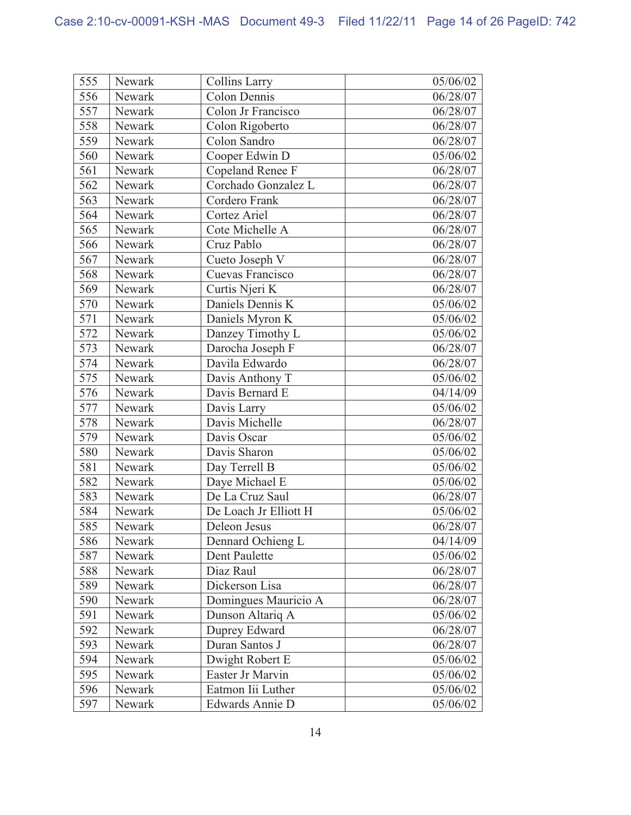| 555              | Newark | <b>Collins Larry</b>  | 05/06/02 |
|------------------|--------|-----------------------|----------|
| 556              | Newark | <b>Colon Dennis</b>   | 06/28/07 |
| 557              | Newark | Colon Jr Francisco    | 06/28/07 |
| 558              | Newark | Colon Rigoberto       | 06/28/07 |
| 559              | Newark | Colon Sandro          | 06/28/07 |
| 560              | Newark | Cooper Edwin D        | 05/06/02 |
| 561              | Newark | Copeland Renee F      | 06/28/07 |
| 562              | Newark | Corchado Gonzalez L   | 06/28/07 |
| 563              | Newark | Cordero Frank         | 06/28/07 |
| 564              | Newark | Cortez Ariel          | 06/28/07 |
| 565              | Newark | Cote Michelle A       | 06/28/07 |
| 566              | Newark | Cruz Pablo            | 06/28/07 |
| 567              | Newark | Cueto Joseph V        | 06/28/07 |
| 568              | Newark | Cuevas Francisco      | 06/28/07 |
| 569              | Newark | Curtis Njeri K        | 06/28/07 |
| 570              | Newark | Daniels Dennis K      | 05/06/02 |
| $\overline{571}$ | Newark | Daniels Myron K       | 05/06/02 |
| 572              | Newark | Danzey Timothy L      | 05/06/02 |
| 573              | Newark | Darocha Joseph F      | 06/28/07 |
| 574              | Newark | Davila Edwardo        | 06/28/07 |
| 575              | Newark | Davis Anthony T       | 05/06/02 |
| 576              | Newark | Davis Bernard E       | 04/14/09 |
| 577              | Newark | Davis Larry           | 05/06/02 |
| 578              | Newark | Davis Michelle        | 06/28/07 |
| 579              | Newark | Davis Oscar           | 05/06/02 |
| 580              | Newark | Davis Sharon          | 05/06/02 |
| 581              | Newark | Day Terrell B         | 05/06/02 |
| 582              | Newark | Daye Michael E        | 05/06/02 |
| 583              | Newark | De La Cruz Saul       | 06/28/07 |
| 584              | Newark | De Loach Jr Elliott H | 05/06/02 |
| 585              | Newark | Deleon Jesus          | 06/28/07 |
| 586              | Newark | Dennard Ochieng L     | 04/14/09 |
| 587              | Newark | Dent Paulette         | 05/06/02 |
| 588              | Newark | Diaz Raul             | 06/28/07 |
| 589              | Newark | Dickerson Lisa        | 06/28/07 |
| 590              | Newark | Domingues Mauricio A  | 06/28/07 |
| 591              | Newark | Dunson Altariq A      | 05/06/02 |
| 592              | Newark | Duprey Edward         | 06/28/07 |
| 593              | Newark | Duran Santos J        | 06/28/07 |
| 594              | Newark | Dwight Robert E       | 05/06/02 |
| 595              | Newark | Easter Jr Marvin      | 05/06/02 |
| 596              | Newark | Eatmon Iii Luther     | 05/06/02 |
| 597              | Newark | Edwards Annie D       | 05/06/02 |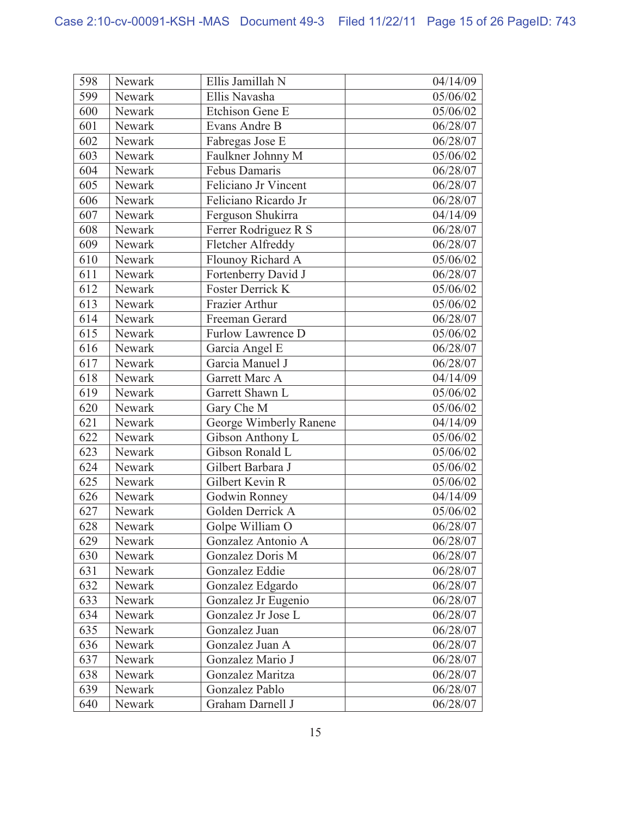| 598 | Newark | Ellis Jamillah N        | 04/14/09 |
|-----|--------|-------------------------|----------|
| 599 | Newark | Ellis Navasha           | 05/06/02 |
| 600 | Newark | Etchison Gene E         | 05/06/02 |
| 601 | Newark | Evans Andre B           | 06/28/07 |
| 602 | Newark | Fabregas Jose E         | 06/28/07 |
| 603 | Newark | Faulkner Johnny M       | 05/06/02 |
| 604 | Newark | Febus Damaris           | 06/28/07 |
| 605 | Newark | Feliciano Jr Vincent    | 06/28/07 |
| 606 | Newark | Feliciano Ricardo Jr    | 06/28/07 |
| 607 | Newark | Ferguson Shukirra       | 04/14/09 |
| 608 | Newark | Ferrer Rodriguez R S    | 06/28/07 |
| 609 | Newark | Fletcher Alfreddy       | 06/28/07 |
| 610 | Newark | Flounoy Richard A       | 05/06/02 |
| 611 | Newark | Fortenberry David J     | 06/28/07 |
| 612 | Newark | <b>Foster Derrick K</b> | 05/06/02 |
| 613 | Newark | Frazier Arthur          | 05/06/02 |
| 614 | Newark | Freeman Gerard          | 06/28/07 |
| 615 | Newark | Furlow Lawrence D       | 05/06/02 |
| 616 | Newark | Garcia Angel E          | 06/28/07 |
| 617 | Newark | Garcia Manuel J         | 06/28/07 |
| 618 | Newark | Garrett Marc A          | 04/14/09 |
| 619 | Newark | Garrett Shawn L         | 05/06/02 |
| 620 | Newark | Gary Che M              | 05/06/02 |
| 621 | Newark | George Wimberly Ranene  | 04/14/09 |
| 622 | Newark | Gibson Anthony L        | 05/06/02 |
| 623 | Newark | Gibson Ronald L         | 05/06/02 |
| 624 | Newark | Gilbert Barbara J       | 05/06/02 |
| 625 | Newark | Gilbert Kevin R         | 05/06/02 |
| 626 | Newark | Godwin Ronney           | 04/14/09 |
| 627 | Newark | Golden Derrick A        | 05/06/02 |
| 628 | Newark | Golpe William O         | 06/28/07 |
| 629 | Newark | Gonzalez Antonio A      | 06/28/07 |
| 630 | Newark | <b>Gonzalez Doris M</b> | 06/28/07 |
| 631 | Newark | Gonzalez Eddie          | 06/28/07 |
| 632 | Newark | Gonzalez Edgardo        | 06/28/07 |
| 633 | Newark | Gonzalez Jr Eugenio     | 06/28/07 |
| 634 | Newark | Gonzalez Jr Jose L      | 06/28/07 |
| 635 | Newark | Gonzalez Juan           | 06/28/07 |
| 636 | Newark | Gonzalez Juan A         | 06/28/07 |
| 637 | Newark | Gonzalez Mario J        | 06/28/07 |
| 638 | Newark | Gonzalez Maritza        | 06/28/07 |
| 639 | Newark | Gonzalez Pablo          | 06/28/07 |
| 640 | Newark | Graham Darnell J        | 06/28/07 |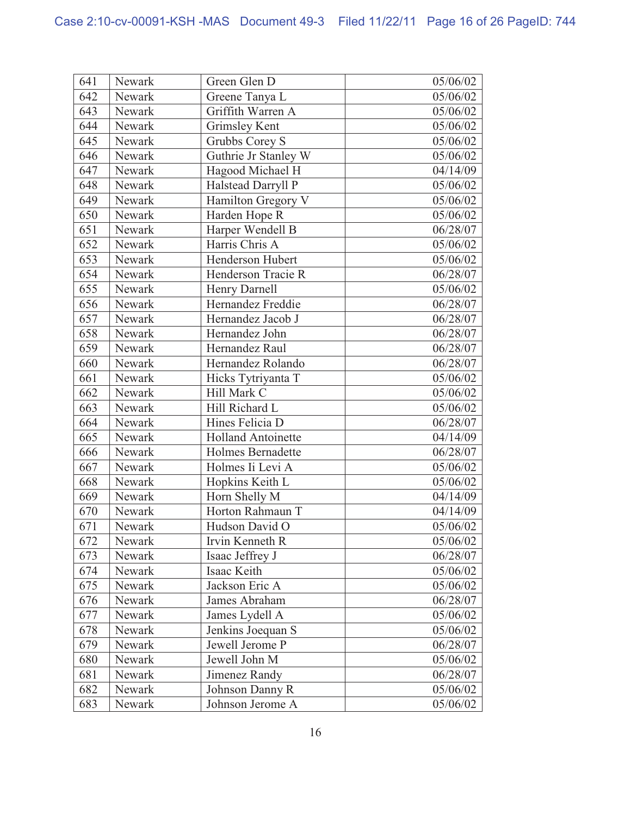| 641 | Newark | Green Glen D              | 05/06/02 |
|-----|--------|---------------------------|----------|
| 642 | Newark | Greene Tanya L            | 05/06/02 |
| 643 | Newark | Griffith Warren A         | 05/06/02 |
| 644 | Newark | <b>Grimsley Kent</b>      | 05/06/02 |
| 645 | Newark | Grubbs Corey S            | 05/06/02 |
| 646 | Newark | Guthrie Jr Stanley W      | 05/06/02 |
| 647 | Newark | Hagood Michael H          | 04/14/09 |
| 648 | Newark | Halstead Darryll P        | 05/06/02 |
| 649 | Newark | Hamilton Gregory V        | 05/06/02 |
| 650 | Newark | Harden Hope R             | 05/06/02 |
| 651 | Newark | Harper Wendell B          | 06/28/07 |
| 652 | Newark | Harris Chris A            | 05/06/02 |
| 653 | Newark | Henderson Hubert          | 05/06/02 |
| 654 | Newark | Henderson Tracie R        | 06/28/07 |
| 655 | Newark | Henry Darnell             | 05/06/02 |
| 656 | Newark | Hernandez Freddie         | 06/28/07 |
| 657 | Newark | Hernandez Jacob J         | 06/28/07 |
| 658 | Newark | Hernandez John            | 06/28/07 |
| 659 | Newark | Hernandez Raul            | 06/28/07 |
| 660 | Newark | Hernandez Rolando         | 06/28/07 |
| 661 | Newark | Hicks Tytriyanta T        | 05/06/02 |
| 662 | Newark | Hill Mark C               | 05/06/02 |
| 663 | Newark | Hill Richard L            | 05/06/02 |
| 664 | Newark | Hines Felicia D           | 06/28/07 |
| 665 | Newark | <b>Holland Antoinette</b> | 04/14/09 |
| 666 | Newark | <b>Holmes Bernadette</b>  | 06/28/07 |
| 667 | Newark | Holmes Ii Levi A          | 05/06/02 |
| 668 | Newark | Hopkins Keith L           | 05/06/02 |
| 669 | Newark | Horn Shelly M             | 04/14/09 |
| 670 | Newark | Horton Rahmaun T          | 04/14/09 |
| 671 | Newark | Hudson David O            | 05/06/02 |
| 672 | Newark | Irvin Kenneth R           | 05/06/02 |
| 673 | Newark | Isaac Jeffrey J           | 06/28/07 |
| 674 | Newark | Isaac Keith               | 05/06/02 |
| 675 | Newark | Jackson Eric A            | 05/06/02 |
| 676 | Newark | James Abraham             | 06/28/07 |
| 677 | Newark | James Lydell A            | 05/06/02 |
| 678 | Newark | Jenkins Joequan S         | 05/06/02 |
| 679 | Newark | Jewell Jerome P           | 06/28/07 |
| 680 | Newark | Jewell John M             | 05/06/02 |
| 681 | Newark | Jimenez Randy             | 06/28/07 |
| 682 | Newark | Johnson Danny R           | 05/06/02 |
| 683 | Newark | Johnson Jerome A          | 05/06/02 |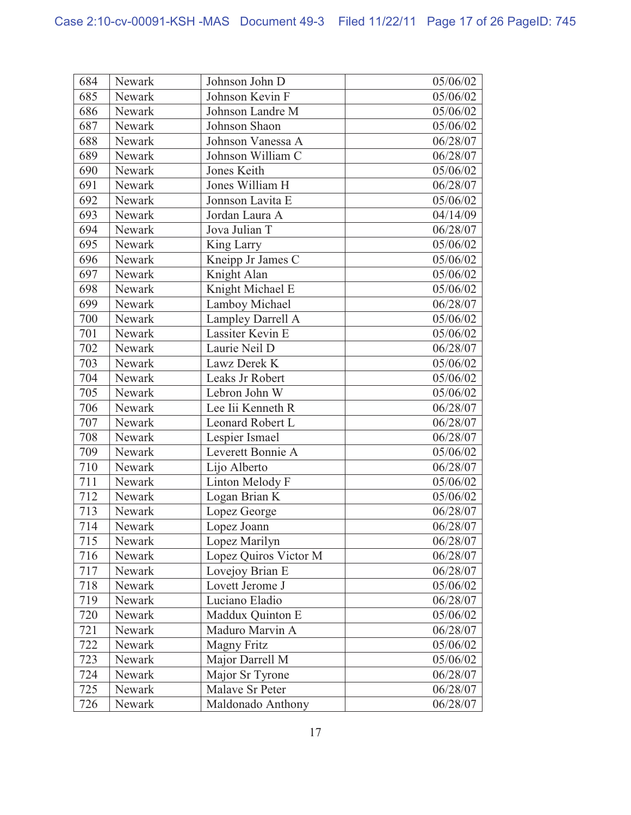| 684 | Newark | Johnson John D        | 05/06/02 |
|-----|--------|-----------------------|----------|
| 685 | Newark | Johnson Kevin F       | 05/06/02 |
| 686 | Newark | Johnson Landre M      | 05/06/02 |
| 687 | Newark | Johnson Shaon         | 05/06/02 |
| 688 | Newark | Johnson Vanessa A     | 06/28/07 |
| 689 | Newark | Johnson William C     | 06/28/07 |
| 690 | Newark | Jones Keith           | 05/06/02 |
| 691 | Newark | Jones William H       | 06/28/07 |
| 692 | Newark | Jonnson Lavita E      | 05/06/02 |
| 693 | Newark | Jordan Laura A        | 04/14/09 |
| 694 | Newark | Jova Julian T         | 06/28/07 |
| 695 | Newark | King Larry            | 05/06/02 |
| 696 | Newark | Kneipp Jr James C     | 05/06/02 |
| 697 | Newark | Knight Alan           | 05/06/02 |
| 698 | Newark | Knight Michael E      | 05/06/02 |
| 699 | Newark | Lamboy Michael        | 06/28/07 |
| 700 | Newark | Lampley Darrell A     | 05/06/02 |
| 701 | Newark | Lassiter Kevin E      | 05/06/02 |
| 702 | Newark | Laurie Neil D         | 06/28/07 |
| 703 | Newark | Lawz Derek K          | 05/06/02 |
| 704 | Newark | Leaks Jr Robert       | 05/06/02 |
| 705 | Newark | Lebron John W         | 05/06/02 |
| 706 | Newark | Lee Iii Kenneth R     | 06/28/07 |
| 707 | Newark | Leonard Robert L      | 06/28/07 |
| 708 | Newark | Lespier Ismael        | 06/28/07 |
| 709 | Newark | Leverett Bonnie A     | 05/06/02 |
| 710 | Newark | Lijo Alberto          | 06/28/07 |
| 711 | Newark | Linton Melody F       | 05/06/02 |
| 712 | Newark | Logan Brian K         | 05/06/02 |
| 713 | Newark | Lopez George          | 06/28/07 |
| 714 | Newark | Lopez Joann           | 06/28/07 |
| 715 | Newark | Lopez Marilyn         | 06/28/07 |
| 716 | Newark | Lopez Quiros Victor M | 06/28/07 |
| 717 | Newark | Lovejoy Brian E       | 06/28/07 |
| 718 | Newark | Lovett Jerome J       | 05/06/02 |
| 719 | Newark | Luciano Eladio        | 06/28/07 |
| 720 | Newark | Maddux Quinton E      | 05/06/02 |
| 721 | Newark | Maduro Marvin A       | 06/28/07 |
| 722 | Newark | <b>Magny Fritz</b>    | 05/06/02 |
| 723 | Newark | Major Darrell M       | 05/06/02 |
| 724 | Newark | Major Sr Tyrone       | 06/28/07 |
| 725 | Newark | Malave Sr Peter       | 06/28/07 |
| 726 | Newark | Maldonado Anthony     | 06/28/07 |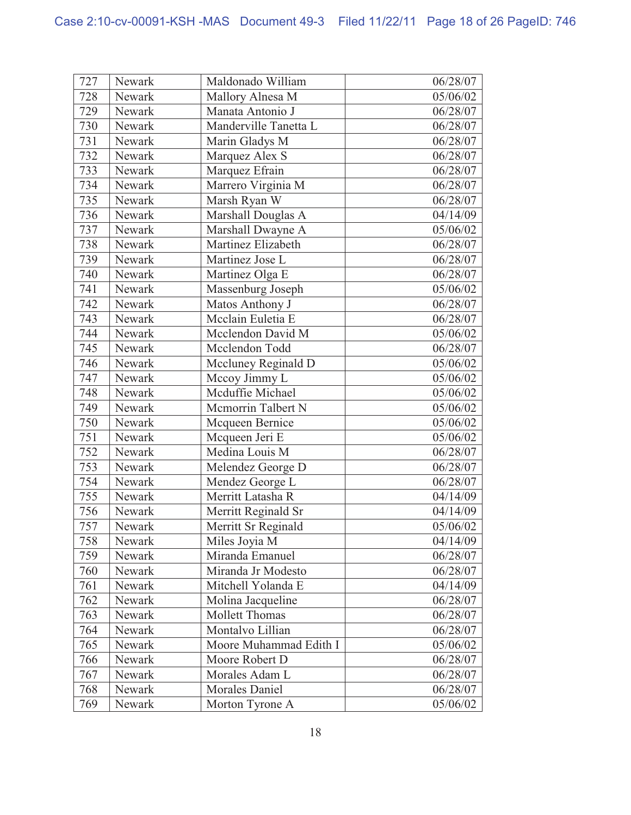| 727 | Newark | Maldonado William      | 06/28/07 |
|-----|--------|------------------------|----------|
| 728 | Newark | Mallory Alnesa M       | 05/06/02 |
| 729 | Newark | Manata Antonio J       | 06/28/07 |
| 730 | Newark | Manderville Tanetta L  | 06/28/07 |
| 731 | Newark | Marin Gladys M         | 06/28/07 |
| 732 | Newark | Marquez Alex S         | 06/28/07 |
| 733 | Newark | Marquez Efrain         | 06/28/07 |
| 734 | Newark | Marrero Virginia M     | 06/28/07 |
| 735 | Newark | Marsh Ryan W           | 06/28/07 |
| 736 | Newark | Marshall Douglas A     | 04/14/09 |
| 737 | Newark | Marshall Dwayne A      | 05/06/02 |
| 738 | Newark | Martinez Elizabeth     | 06/28/07 |
| 739 | Newark | Martinez Jose L        | 06/28/07 |
| 740 | Newark | Martinez Olga E        | 06/28/07 |
| 741 | Newark | Massenburg Joseph      | 05/06/02 |
| 742 | Newark | Matos Anthony J        | 06/28/07 |
| 743 | Newark | Mcclain Euletia E      | 06/28/07 |
| 744 | Newark | Mcclendon David M      | 05/06/02 |
| 745 | Newark | Mcclendon Todd         | 06/28/07 |
| 746 | Newark | Mccluney Reginald D    | 05/06/02 |
| 747 | Newark | Mccoy Jimmy L          | 05/06/02 |
| 748 | Newark | Mcduffie Michael       | 05/06/02 |
| 749 | Newark | Mcmorrin Talbert N     | 05/06/02 |
| 750 | Newark | Mcqueen Bernice        | 05/06/02 |
| 751 | Newark | Mcqueen Jeri E         | 05/06/02 |
| 752 | Newark | Medina Louis M         | 06/28/07 |
| 753 | Newark | Melendez George D      | 06/28/07 |
| 754 | Newark | Mendez George L        | 06/28/07 |
| 755 | Newark | Merritt Latasha R      | 04/14/09 |
| 756 | Newark | Merritt Reginald Sr    | 04/14/09 |
| 757 | Newark | Merritt Sr Reginald    | 05/06/02 |
| 758 | Newark | Miles Joyia M          | 04/14/09 |
| 759 | Newark | Miranda Emanuel        | 06/28/07 |
| 760 | Newark | Miranda Jr Modesto     | 06/28/07 |
| 761 | Newark | Mitchell Yolanda E     | 04/14/09 |
| 762 | Newark | Molina Jacqueline      | 06/28/07 |
| 763 | Newark | <b>Mollett Thomas</b>  | 06/28/07 |
| 764 | Newark | Montalvo Lillian       | 06/28/07 |
| 765 | Newark | Moore Muhammad Edith I | 05/06/02 |
| 766 | Newark | Moore Robert D         | 06/28/07 |
| 767 | Newark | Morales Adam L         | 06/28/07 |
| 768 | Newark | <b>Morales Daniel</b>  | 06/28/07 |
| 769 | Newark | Morton Tyrone A        | 05/06/02 |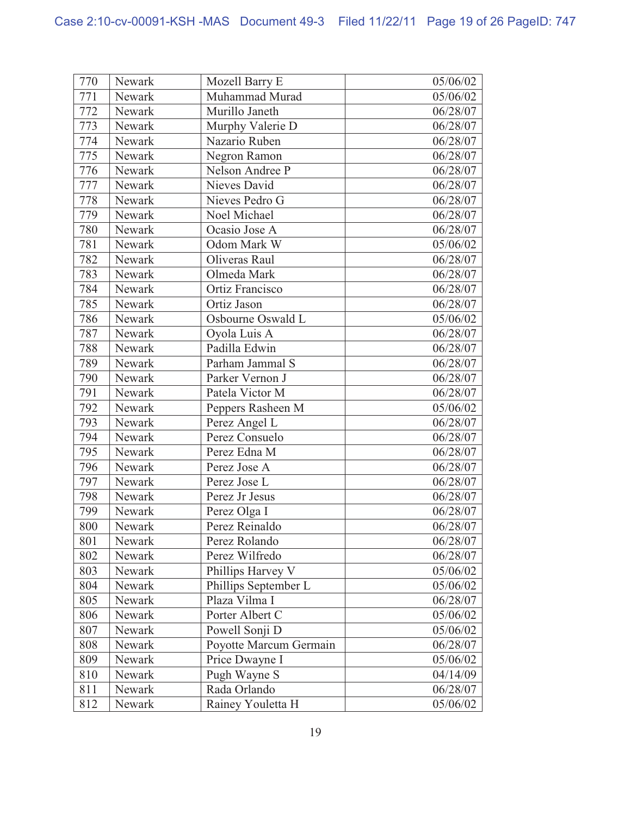| 770 | Newark | Mozell Barry E         | 05/06/02 |
|-----|--------|------------------------|----------|
| 771 | Newark | Muhammad Murad         | 05/06/02 |
| 772 | Newark | Murillo Janeth         | 06/28/07 |
| 773 | Newark | Murphy Valerie D       | 06/28/07 |
| 774 | Newark | Nazario Ruben          | 06/28/07 |
| 775 | Newark | Negron Ramon           | 06/28/07 |
| 776 | Newark | Nelson Andree P        | 06/28/07 |
| 777 | Newark | Nieves David           | 06/28/07 |
| 778 | Newark | Nieves Pedro G         | 06/28/07 |
| 779 | Newark | Noel Michael           | 06/28/07 |
| 780 | Newark | Ocasio Jose A          | 06/28/07 |
| 781 | Newark | Odom Mark W            | 05/06/02 |
| 782 | Newark | Oliveras Raul          | 06/28/07 |
| 783 | Newark | Olmeda Mark            | 06/28/07 |
| 784 | Newark | <b>Ortiz Francisco</b> | 06/28/07 |
| 785 | Newark | Ortiz Jason            | 06/28/07 |
| 786 | Newark | Osbourne Oswald L      | 05/06/02 |
| 787 | Newark | Oyola Luis A           | 06/28/07 |
| 788 | Newark | Padilla Edwin          | 06/28/07 |
| 789 | Newark | Parham Jammal S        | 06/28/07 |
| 790 | Newark | Parker Vernon J        | 06/28/07 |
| 791 | Newark | Patela Victor M        | 06/28/07 |
| 792 | Newark | Peppers Rasheen M      | 05/06/02 |
| 793 | Newark | Perez Angel L          | 06/28/07 |
| 794 | Newark | Perez Consuelo         | 06/28/07 |
| 795 | Newark | Perez Edna M           | 06/28/07 |
| 796 | Newark | Perez Jose A           | 06/28/07 |
| 797 | Newark | Perez Jose L           | 06/28/07 |
| 798 | Newark | Perez Jr Jesus         | 06/28/07 |
| 799 | Newark | Perez Olga I           | 06/28/07 |
| 800 | Newark | Perez Reinaldo         | 06/28/07 |
| 801 | Newark | Perez Rolando          | 06/28/07 |
| 802 | Newark | Perez Wilfredo         | 06/28/07 |
| 803 | Newark | Phillips Harvey V      | 05/06/02 |
| 804 | Newark | Phillips September L   | 05/06/02 |
| 805 | Newark | Plaza Vilma I          | 06/28/07 |
| 806 | Newark | Porter Albert C        | 05/06/02 |
| 807 | Newark | Powell Sonji D         | 05/06/02 |
| 808 | Newark | Poyotte Marcum Germain | 06/28/07 |
| 809 | Newark | Price Dwayne I         | 05/06/02 |
| 810 | Newark | Pugh Wayne S           | 04/14/09 |
| 811 | Newark | Rada Orlando           | 06/28/07 |
| 812 | Newark | Rainey Youletta H      | 05/06/02 |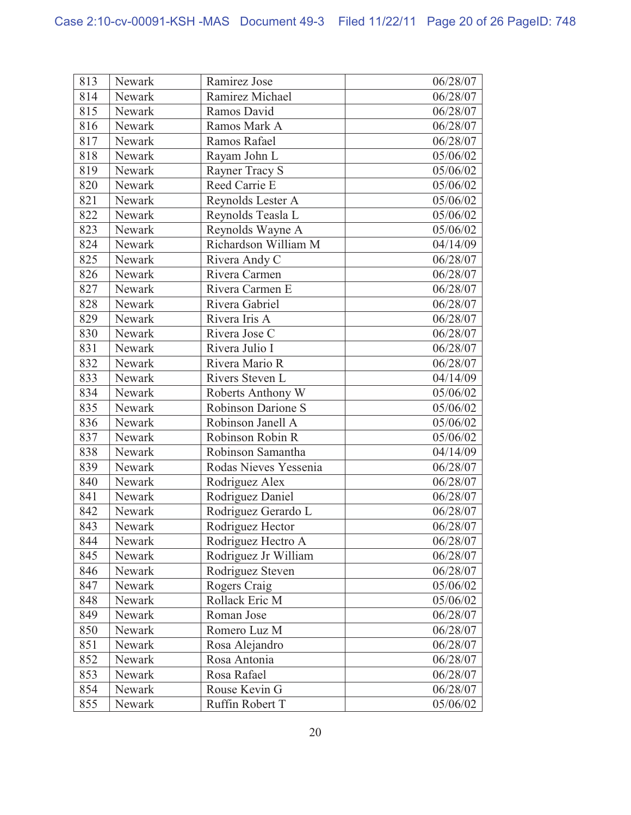| 813 | Newark | Ramirez Jose          | 06/28/07 |
|-----|--------|-----------------------|----------|
| 814 | Newark | Ramirez Michael       | 06/28/07 |
| 815 | Newark | Ramos David           | 06/28/07 |
| 816 | Newark | Ramos Mark A          | 06/28/07 |
| 817 | Newark | Ramos Rafael          | 06/28/07 |
| 818 | Newark | Rayam John L          | 05/06/02 |
| 819 | Newark | Rayner Tracy S        | 05/06/02 |
| 820 | Newark | Reed Carrie E         | 05/06/02 |
| 821 | Newark | Reynolds Lester A     | 05/06/02 |
| 822 | Newark | Reynolds Teasla L     | 05/06/02 |
| 823 | Newark | Reynolds Wayne A      | 05/06/02 |
| 824 | Newark | Richardson William M  | 04/14/09 |
| 825 | Newark | Rivera Andy C         | 06/28/07 |
| 826 | Newark | Rivera Carmen         | 06/28/07 |
| 827 | Newark | Rivera Carmen E       | 06/28/07 |
| 828 | Newark | Rivera Gabriel        | 06/28/07 |
| 829 | Newark | Rivera Iris A         | 06/28/07 |
| 830 | Newark | Rivera Jose C         | 06/28/07 |
| 831 | Newark | Rivera Julio I        | 06/28/07 |
| 832 | Newark | Rivera Mario R        | 06/28/07 |
| 833 | Newark | Rivers Steven L       | 04/14/09 |
| 834 | Newark | Roberts Anthony W     | 05/06/02 |
| 835 | Newark | Robinson Darione S    | 05/06/02 |
| 836 | Newark | Robinson Janell A     | 05/06/02 |
| 837 | Newark | Robinson Robin R      | 05/06/02 |
| 838 | Newark | Robinson Samantha     | 04/14/09 |
| 839 | Newark | Rodas Nieves Yessenia | 06/28/07 |
| 840 | Newark | Rodriguez Alex        | 06/28/07 |
| 841 | Newark | Rodriguez Daniel      | 06/28/07 |
| 842 | Newark | Rodriguez Gerardo L   | 06/28/07 |
| 843 | Newark | Rodriguez Hector      | 06/28/07 |
| 844 | Newark | Rodriguez Hectro A    | 06/28/07 |
| 845 | Newark | Rodriguez Jr William  | 06/28/07 |
| 846 | Newark | Rodriguez Steven      | 06/28/07 |
| 847 | Newark | Rogers Craig          | 05/06/02 |
| 848 | Newark | Rollack Eric M        | 05/06/02 |
| 849 | Newark | Roman Jose            | 06/28/07 |
| 850 | Newark | Romero Luz M          | 06/28/07 |
| 851 | Newark | Rosa Alejandro        | 06/28/07 |
| 852 | Newark | Rosa Antonia          | 06/28/07 |
| 853 | Newark | Rosa Rafael           | 06/28/07 |
| 854 | Newark | Rouse Kevin G         | 06/28/07 |
| 855 | Newark | Ruffin Robert T       | 05/06/02 |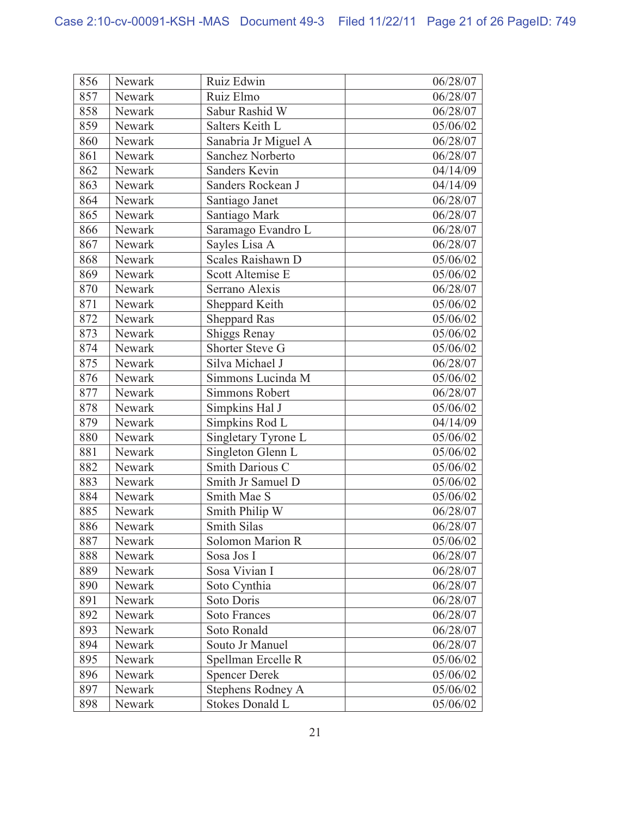| 856 | Newark | Ruiz Edwin              | 06/28/07 |
|-----|--------|-------------------------|----------|
| 857 | Newark | Ruiz Elmo               | 06/28/07 |
| 858 | Newark | Sabur Rashid W          | 06/28/07 |
| 859 | Newark | Salters Keith L         | 05/06/02 |
| 860 | Newark | Sanabria Jr Miguel A    | 06/28/07 |
| 861 | Newark | Sanchez Norberto        | 06/28/07 |
| 862 | Newark | Sanders Kevin           | 04/14/09 |
| 863 | Newark | Sanders Rockean J       | 04/14/09 |
| 864 | Newark | Santiago Janet          | 06/28/07 |
| 865 | Newark | Santiago Mark           | 06/28/07 |
| 866 | Newark | Saramago Evandro L      | 06/28/07 |
| 867 | Newark | Sayles Lisa A           | 06/28/07 |
| 868 | Newark | Scales Raishawn D       | 05/06/02 |
| 869 | Newark | Scott Altemise E        | 05/06/02 |
| 870 | Newark | Serrano Alexis          | 06/28/07 |
| 871 | Newark | Sheppard Keith          | 05/06/02 |
| 872 | Newark | <b>Sheppard Ras</b>     | 05/06/02 |
| 873 | Newark | <b>Shiggs Renay</b>     | 05/06/02 |
| 874 | Newark | Shorter Steve G         | 05/06/02 |
| 875 | Newark | Silva Michael J         | 06/28/07 |
| 876 | Newark | Simmons Lucinda M       | 05/06/02 |
| 877 | Newark | Simmons Robert          | 06/28/07 |
| 878 | Newark | Simpkins Hal J          | 05/06/02 |
| 879 | Newark | Simpkins Rod L          | 04/14/09 |
| 880 | Newark | Singletary Tyrone L     | 05/06/02 |
| 881 | Newark | Singleton Glenn L       | 05/06/02 |
| 882 | Newark | Smith Darious C         | 05/06/02 |
| 883 | Newark | Smith Jr Samuel D       | 05/06/02 |
| 884 | Newark | Smith Mae S             | 05/06/02 |
| 885 | Newark | Smith Philip W          | 06/28/07 |
| 886 | Newark | <b>Smith Silas</b>      | 06/28/07 |
| 887 | Newark | <b>Solomon Marion R</b> | 05/06/02 |
| 888 | Newark | Sosa Jos I              | 06/28/07 |
| 889 | Newark | Sosa Vivian I           | 06/28/07 |
| 890 | Newark | Soto Cynthia            | 06/28/07 |
| 891 | Newark | Soto Doris              | 06/28/07 |
| 892 | Newark | <b>Soto Frances</b>     | 06/28/07 |
| 893 | Newark | Soto Ronald             | 06/28/07 |
| 894 | Newark | Souto Jr Manuel         | 06/28/07 |
| 895 | Newark | Spellman Ercelle R      | 05/06/02 |
| 896 | Newark | <b>Spencer Derek</b>    | 05/06/02 |
| 897 | Newark | Stephens Rodney A       | 05/06/02 |
| 898 | Newark | <b>Stokes Donald L</b>  | 05/06/02 |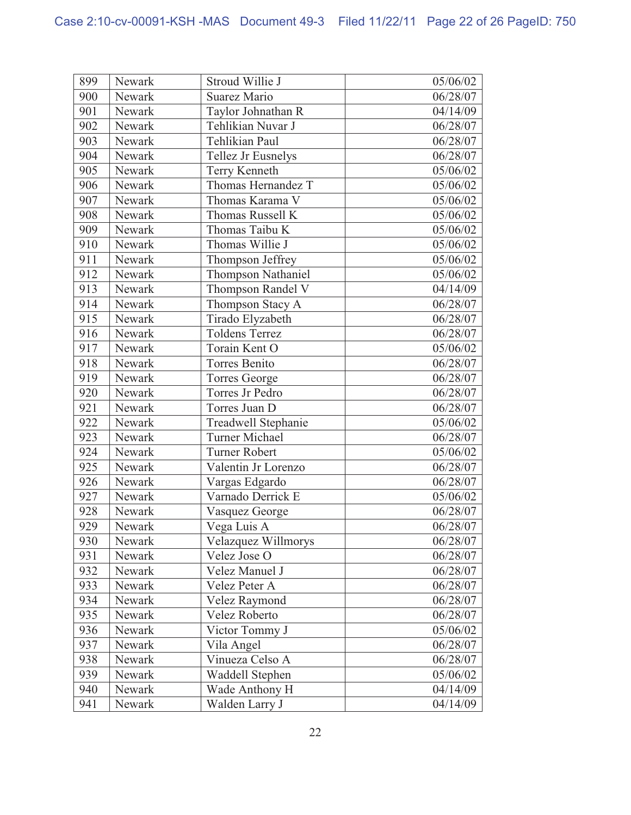| 899 | Newark | Stroud Willie J       | 05/06/02 |
|-----|--------|-----------------------|----------|
| 900 | Newark | Suarez Mario          | 06/28/07 |
| 901 | Newark | Taylor Johnathan R    | 04/14/09 |
| 902 | Newark | Tehlikian Nuvar J     | 06/28/07 |
| 903 | Newark | Tehlikian Paul        | 06/28/07 |
| 904 | Newark | Tellez Jr Eusnelys    | 06/28/07 |
| 905 | Newark | Terry Kenneth         | 05/06/02 |
| 906 | Newark | Thomas Hernandez T    | 05/06/02 |
| 907 | Newark | Thomas Karama V       | 05/06/02 |
| 908 | Newark | Thomas Russell K      | 05/06/02 |
| 909 | Newark | Thomas Taibu K        | 05/06/02 |
| 910 | Newark | Thomas Willie J       | 05/06/02 |
| 911 | Newark | Thompson Jeffrey      | 05/06/02 |
| 912 | Newark | Thompson Nathaniel    | 05/06/02 |
| 913 | Newark | Thompson Randel V     | 04/14/09 |
| 914 | Newark | Thompson Stacy A      | 06/28/07 |
| 915 | Newark | Tirado Elyzabeth      | 06/28/07 |
| 916 | Newark | <b>Toldens Terrez</b> | 06/28/07 |
| 917 | Newark | Torain Kent O         | 05/06/02 |
| 918 | Newark | Torres Benito         | 06/28/07 |
| 919 | Newark | <b>Torres George</b>  | 06/28/07 |
| 920 | Newark | Torres Jr Pedro       | 06/28/07 |
| 921 | Newark | Torres Juan D         | 06/28/07 |
| 922 | Newark | Treadwell Stephanie   | 05/06/02 |
| 923 | Newark | <b>Turner Michael</b> | 06/28/07 |
| 924 | Newark | <b>Turner Robert</b>  | 05/06/02 |
| 925 | Newark | Valentin Jr Lorenzo   | 06/28/07 |
| 926 | Newark | Vargas Edgardo        | 06/28/07 |
| 927 | Newark | Varnado Derrick E     | 05/06/02 |
| 928 | Newark | Vasquez George        | 06/28/07 |
| 929 | Newark | Vega Luis A           | 06/28/07 |
| 930 | Newark | Velazquez Willmorys   | 06/28/07 |
| 931 | Newark | Velez Jose O          | 06/28/07 |
| 932 | Newark | Velez Manuel J        | 06/28/07 |
| 933 | Newark | Velez Peter A         | 06/28/07 |
| 934 | Newark | Velez Raymond         | 06/28/07 |
| 935 | Newark | Velez Roberto         | 06/28/07 |
| 936 | Newark | Victor Tommy J        | 05/06/02 |
| 937 | Newark | Vila Angel            | 06/28/07 |
| 938 | Newark | Vinueza Celso A       | 06/28/07 |
| 939 | Newark | Waddell Stephen       | 05/06/02 |
| 940 | Newark | Wade Anthony H        | 04/14/09 |
| 941 | Newark | Walden Larry J        | 04/14/09 |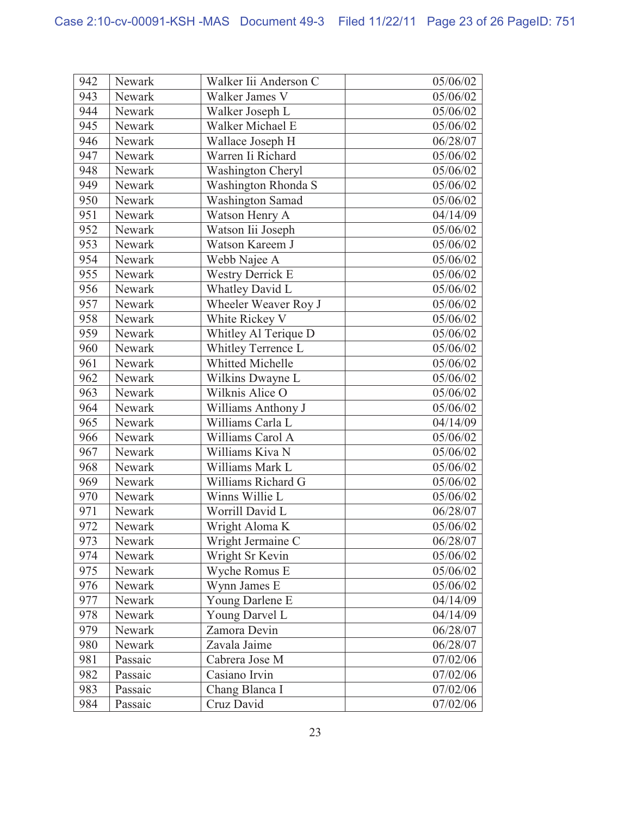| 942 | Newark  | Walker Iii Anderson C   | 05/06/02 |
|-----|---------|-------------------------|----------|
| 943 | Newark  | Walker James V          | 05/06/02 |
| 944 | Newark  | Walker Joseph L         | 05/06/02 |
| 945 | Newark  | Walker Michael E        | 05/06/02 |
| 946 | Newark  | Wallace Joseph H        | 06/28/07 |
| 947 | Newark  | Warren Ii Richard       | 05/06/02 |
| 948 | Newark  | Washington Cheryl       | 05/06/02 |
| 949 | Newark  | Washington Rhonda S     | 05/06/02 |
| 950 | Newark  | <b>Washington Samad</b> | 05/06/02 |
| 951 | Newark  | Watson Henry A          | 04/14/09 |
| 952 | Newark  | Watson Iii Joseph       | 05/06/02 |
| 953 | Newark  | Watson Kareem J         | 05/06/02 |
| 954 | Newark  | Webb Najee A            | 05/06/02 |
| 955 | Newark  | <b>Westry Derrick E</b> | 05/06/02 |
| 956 | Newark  | Whatley David L         | 05/06/02 |
| 957 | Newark  | Wheeler Weaver Roy J    | 05/06/02 |
| 958 | Newark  | White Rickey V          | 05/06/02 |
| 959 | Newark  | Whitley Al Terique D    | 05/06/02 |
| 960 | Newark  | Whitley Terrence L      | 05/06/02 |
| 961 | Newark  | <b>Whitted Michelle</b> | 05/06/02 |
| 962 | Newark  | Wilkins Dwayne L        | 05/06/02 |
| 963 | Newark  | Wilknis Alice O         | 05/06/02 |
| 964 | Newark  | Williams Anthony J      | 05/06/02 |
| 965 | Newark  | Williams Carla L        | 04/14/09 |
| 966 | Newark  | Williams Carol A        | 05/06/02 |
| 967 | Newark  | Williams Kiva N         | 05/06/02 |
| 968 | Newark  | Williams Mark L         | 05/06/02 |
| 969 | Newark  | Williams Richard G      | 05/06/02 |
| 970 | Newark  | Winns Willie L          | 05/06/02 |
| 971 | Newark  | Worrill David L         | 06/28/07 |
| 972 | Newark  | Wright Aloma K          | 05/06/02 |
| 973 | Newark  | Wright Jermaine C       | 06/28/07 |
| 974 | Newark  | Wright Sr Kevin         | 05/06/02 |
| 975 | Newark  | Wyche Romus E           | 05/06/02 |
| 976 | Newark  | Wynn James E            | 05/06/02 |
| 977 | Newark  | Young Darlene E         | 04/14/09 |
| 978 | Newark  | Young Darvel L          | 04/14/09 |
| 979 | Newark  | Zamora Devin            | 06/28/07 |
| 980 | Newark  | Zavala Jaime            | 06/28/07 |
| 981 | Passaic | Cabrera Jose M          | 07/02/06 |
| 982 | Passaic | Casiano Irvin           | 07/02/06 |
| 983 | Passaic | Chang Blanca I          | 07/02/06 |
| 984 | Passaic | Cruz David              | 07/02/06 |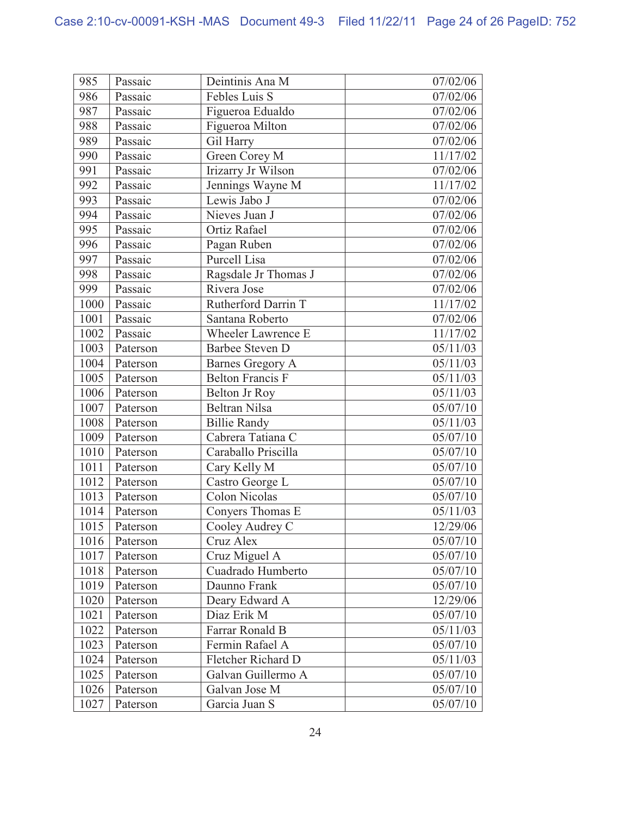| 985  | Passaic  | Deintinis Ana M         | 07/02/06            |
|------|----------|-------------------------|---------------------|
| 986  | Passaic  | Febles Luis S           | 07/02/06            |
| 987  | Passaic  | Figueroa Edualdo        | 07/02/06            |
| 988  | Passaic  | Figueroa Milton         | 07/02/06            |
| 989  | Passaic  | Gil Harry               | 07/02/06            |
| 990  | Passaic  | Green Corey M           | 11/17/02            |
| 991  | Passaic  | Irizarry Jr Wilson      | 07/02/06            |
| 992  | Passaic  | Jennings Wayne M        | 11/17/02            |
| 993  | Passaic  | Lewis Jabo J            | 07/02/06            |
| 994  | Passaic  | Nieves Juan J           | 07/02/06            |
| 995  | Passaic  | Ortiz Rafael            | 07/02/06            |
| 996  | Passaic  | Pagan Ruben             | 07/02/06            |
| 997  | Passaic  | Purcell Lisa            | 07/02/06            |
| 998  | Passaic  | Ragsdale Jr Thomas J    | 07/02/06            |
| 999  | Passaic  | Rivera Jose             | 07/02/06            |
| 1000 | Passaic  | Rutherford Darrin T     | 11/17/02            |
| 1001 | Passaic  | Santana Roberto         | 07/02/06            |
| 1002 | Passaic  | Wheeler Lawrence E      | 11/17/02            |
| 1003 | Paterson | Barbee Steven D         | 05/11/03            |
| 1004 | Paterson | <b>Barnes Gregory A</b> | 05/11/03            |
| 1005 | Paterson | <b>Belton Francis F</b> | 05/11/03            |
| 1006 | Paterson | Belton Jr Roy           | 05/11/03            |
| 1007 | Paterson | <b>Beltran Nilsa</b>    | 05/07/10            |
| 1008 | Paterson | <b>Billie Randy</b>     | 05/11/03            |
| 1009 | Paterson | Cabrera Tatiana C       | 05/07/10            |
| 1010 | Paterson | Caraballo Priscilla     | 05/07/10            |
| 1011 | Paterson | Cary Kelly M            | 05/07/10            |
| 1012 | Paterson | Castro George L         | 05/07/10            |
| 1013 | Paterson | <b>Colon Nicolas</b>    | 05/07/10            |
| 1014 | Paterson | Conyers Thomas E        | 05/11/03            |
| 1015 | Paterson | Cooley Audrey C         | 12/29/06            |
| 1016 | Paterson | Cruz Alex               | $\frac{05}{07}{10}$ |
| 1017 | Paterson | Cruz Miguel A           | 05/07/10            |
| 1018 | Paterson | Cuadrado Humberto       | 05/07/10            |
| 1019 | Paterson | Daunno Frank            | 05/07/10            |
| 1020 | Paterson | Deary Edward A          | 12/29/06            |
| 1021 | Paterson | Diaz Erik M             | 05/07/10            |
| 1022 | Paterson | Farrar Ronald B         | 05/11/03            |
| 1023 | Paterson | Fermin Rafael A         | 05/07/10            |
| 1024 | Paterson | Fletcher Richard D      | 05/11/03            |
| 1025 | Paterson | Galvan Guillermo A      | 05/07/10            |
| 1026 | Paterson | Galvan Jose M           | 05/07/10            |
| 1027 | Paterson | Garcia Juan S           | 05/07/10            |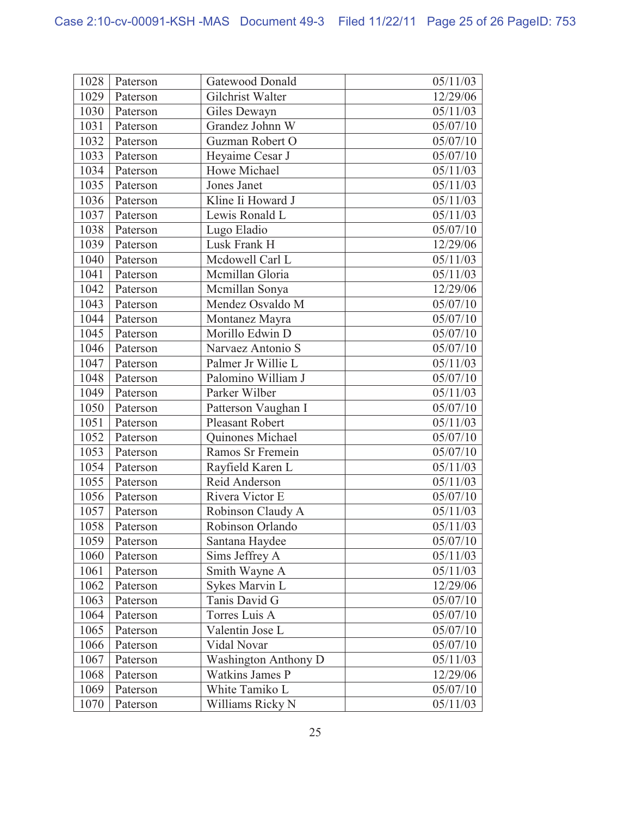| 1028 | Paterson | Gatewood Donald             | 05/11/03 |
|------|----------|-----------------------------|----------|
| 1029 | Paterson | Gilchrist Walter            | 12/29/06 |
| 1030 | Paterson | Giles Dewayn                | 05/11/03 |
| 1031 | Paterson | Grandez Johnn W             | 05/07/10 |
| 1032 | Paterson | Guzman Robert O             | 05/07/10 |
| 1033 | Paterson | Heyaime Cesar J             | 05/07/10 |
| 1034 | Paterson | Howe Michael                | 05/11/03 |
| 1035 | Paterson | Jones Janet                 | 05/11/03 |
| 1036 | Paterson | Kline Ii Howard J           | 05/11/03 |
| 1037 | Paterson | Lewis Ronald L              | 05/11/03 |
| 1038 | Paterson | Lugo Eladio                 | 05/07/10 |
| 1039 | Paterson | Lusk Frank H                | 12/29/06 |
| 1040 | Paterson | Mcdowell Carl L             | 05/11/03 |
| 1041 | Paterson | Mcmillan Gloria             | 05/11/03 |
| 1042 | Paterson | Mcmillan Sonya              | 12/29/06 |
| 1043 | Paterson | Mendez Osvaldo M            | 05/07/10 |
| 1044 | Paterson | Montanez Mayra              | 05/07/10 |
| 1045 | Paterson | Morillo Edwin D             | 05/07/10 |
| 1046 | Paterson | Narvaez Antonio S           | 05/07/10 |
| 1047 | Paterson | Palmer Jr Willie L          | 05/11/03 |
| 1048 | Paterson | Palomino William J          | 05/07/10 |
| 1049 | Paterson | Parker Wilber               | 05/11/03 |
| 1050 | Paterson | Patterson Vaughan I         | 05/07/10 |
| 1051 | Paterson | <b>Pleasant Robert</b>      | 05/11/03 |
| 1052 | Paterson | Quinones Michael            | 05/07/10 |
| 1053 | Paterson | Ramos Sr Fremein            | 05/07/10 |
| 1054 | Paterson | Rayfield Karen L            | 05/11/03 |
| 1055 | Paterson | Reid Anderson               | 05/11/03 |
| 1056 | Paterson | Rivera Victor E             | 05/07/10 |
| 1057 | Paterson | Robinson Claudy A           | 05/11/03 |
| 1058 | Paterson | Robinson Orlando            | 05/11/03 |
| 1059 | Paterson | Santana Haydee              | 05/07/10 |
| 1060 | Paterson | Sims Jeffrey A              | 05/11/03 |
| 1061 | Paterson | Smith Wayne A               | 05/11/03 |
| 1062 | Paterson | Sykes Marvin L              | 12/29/06 |
| 1063 | Paterson | Tanis David G               | 05/07/10 |
| 1064 | Paterson | Torres Luis A               | 05/07/10 |
| 1065 | Paterson | Valentin Jose L             | 05/07/10 |
| 1066 | Paterson | Vidal Novar                 | 05/07/10 |
| 1067 | Paterson | <b>Washington Anthony D</b> | 05/11/03 |
| 1068 | Paterson | <b>Watkins James P</b>      | 12/29/06 |
| 1069 | Paterson | White Tamiko L              | 05/07/10 |
| 1070 | Paterson | Williams Ricky N            | 05/11/03 |